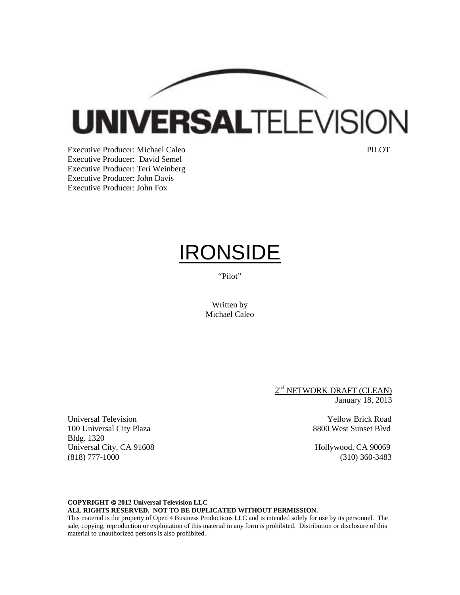**UNIVERSALTELEVISION** 

Executive Producer: Michael Caleo **PILOT** Executive Producer: David Semel Executive Producer: Teri Weinberg Executive Producer: John Davis Executive Producer: John Fox

Bldg. 1320

# IRONSIDE

"Pilot"

Written by Michael Caleo

> 2<sup>nd</sup> NETWORK DRAFT (CLEAN) January 18, 2013

Universal Television Yellow Brick Road 100 Universal City Plaza 8800 West Sunset Blvd

Universal City, CA 91608 Hollywood, CA 90069 (818) 777-1000 (310) 360-3483

# **COPYRIGHT 2012 Universal Television LLC ALL RIGHTS RESERVED. NOT TO BE DUPLICATED WITHOUT PERMISSION.**

This material is the property of Open 4 Business Productions LLC and is intended solely for use by its personnel. The sale, copying, reproduction or exploitation of this material in any form is prohibited. Distribution or disclosure of this material to unauthorized persons is also prohibited.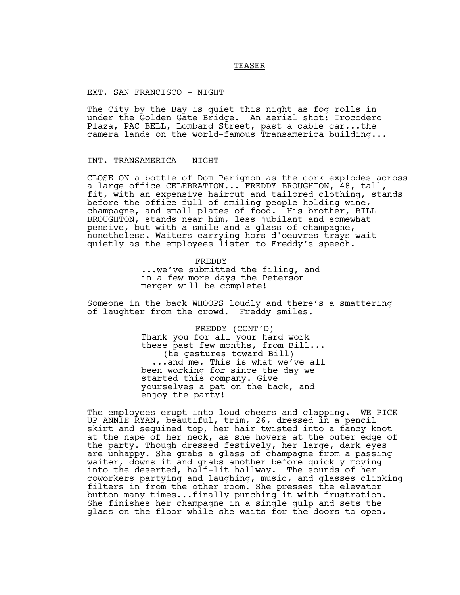# TEASER

# EXT. SAN FRANCISCO - NIGHT

The City by the Bay is quiet this night as fog rolls in under the Golden Gate Bridge. An aerial shot: Trocodero Plaza, PAC BELL, Lombard Street, past a cable car...the camera lands on the world-famous Transamerica building...

# INT. TRANSAMERICA - NIGHT

CLOSE ON a bottle of Dom Perignon as the cork explodes across a large office CELEBRATION... FREDDY BROUGHTON, 48, tall, fit, with an expensive haircut and tailored clothing, stands before the office full of smiling people holding wine, champagne, and small plates of food. His brother, BILL BROUGHTON, stands near him, less jubilant and somewhat pensive, but with a smile and a glass of champagne, nonetheless. Waiters carrying hors d'oeuvres trays wait quietly as the employees listen to Freddy's speech.

> FREDDY ...we've submitted the filing, and in a few more days the Peterson merger will be complete!

Someone in the back WHOOPS loudly and there's a smattering of laughter from the crowd. Freddy smiles.

> FREDDY (CONT'D) Thank you for all your hard work these past few months, from Bill... (he gestures toward Bill) ...and me. This is what we've all been working for since the day we started this company. Give yourselves a pat on the back, and enjoy the party!

The employees erupt into loud cheers and clapping. WE PICK UP ANNIE RYAN, beautiful, trim, 26, dressed in a pencil skirt and sequined top, her hair twisted into a fancy knot at the nape of her neck, as she hovers at the outer edge of the party. Though dressed festively, her large, dark eyes are unhappy. She grabs a glass of champagne from a passing waiter, downs it and grabs another before quickly moving into the deserted, half-lit hallway. The sounds of her coworkers partying and laughing, music, and glasses clinking filters in from the other room. She presses the elevator button many times...finally punching it with frustration. She finishes her champagne in a single gulp and sets the glass on the floor while she waits for the doors to open.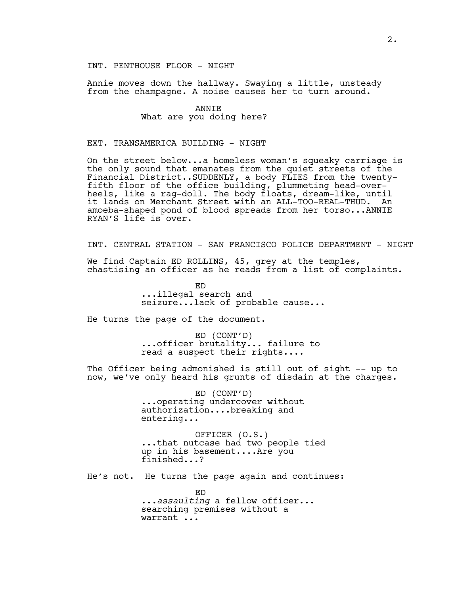# INT. PENTHOUSE FLOOR - NIGHT

Annie moves down the hallway. Swaying a little, unsteady from the champagne. A noise causes her to turn around.

# ANNIE What are you doing here?

# EXT. TRANSAMERICA BUILDING - NIGHT

On the street below...a homeless woman's squeaky carriage is the only sound that emanates from the quiet streets of the Financial District..SUDDENLY, a body FLIES from the twentyfifth floor of the office building, plummeting head-overheels, like a rag-doll. The body floats, dream-like, until it lands on Merchant Street with an ALL-TOO-REAL-THUD. An amoeba-shaped pond of blood spreads from her torso...ANNIE RYAN'S life is over.

INT. CENTRAL STATION - SAN FRANCISCO POLICE DEPARTMENT - NIGHT

We find Captain ED ROLLINS, 45, grey at the temples, chastising an officer as he reads from a list of complaints.

> ED ...illegal search and seizure...lack of probable cause...

He turns the page of the document.

ED (CONT'D) ...officer brutality... failure to read a suspect their rights....

The Officer being admonished is still out of sight -- up to now, we've only heard his grunts of disdain at the charges.

> ED (CONT'D) ...operating undercover without authorization....breaking and entering...

OFFICER (O.S.) ...that nutcase had two people tied up in his basement....Are you finished...?

He's not. He turns the page again and continues:

ED ...*assaulting* a fellow officer... searching premises without a warrant ...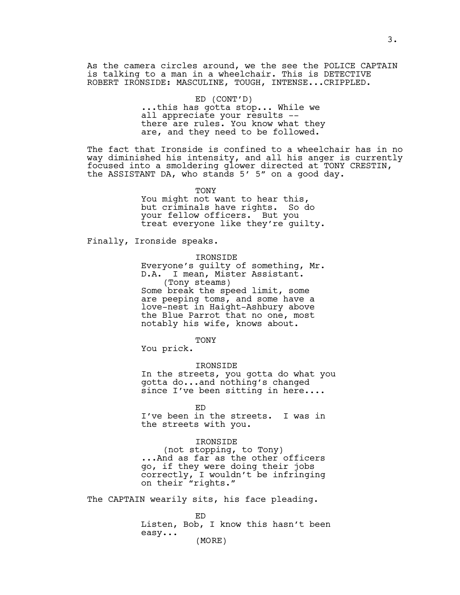As the camera circles around, we the see the POLICE CAPTAIN is talking to a man in a wheelchair. This is DETECTIVE ROBERT IRONSIDE: MASCULINE, TOUGH, INTENSE...CRIPPLED.

# ED (CONT'D)

...this has gotta stop... While we all appreciate your results - there are rules. You know what they are, and they need to be followed.

The fact that Ironside is confined to a wheelchair has in no way diminished his intensity, and all his anger is currently focused into a smoldering glower directed at TONY CRESTIN, the ASSISTANT DA, who stands 5' 5" on a good day.

> TONY You might not want to hear this, but criminals have rights. So do your fellow officers. But you treat everyone like they're guilty.

Finally, Ironside speaks.

IRONSIDE

Everyone's guilty of something, Mr. D.A. I mean, Mister Assistant. (Tony steams) Some break the speed limit, some are peeping toms, and some have a love-nest in Haight-Ashbury above the Blue Parrot that no one, most notably his wife, knows about.

**TONY** 

You prick.

IRONSIDE

In the streets, you gotta do what you gotta do...and nothing's changed since I've been sitting in here....

ED

I've been in the streets. I was in the streets with you.

## IRONSIDE

(not stopping, to Tony) ...And as far as the other officers go, if they were doing their jobs correctly, I wouldn't be infringing on their "rights."

The CAPTAIN wearily sits, his face pleading.

ED Listen, Bob, I know this hasn't been easy... (MORE)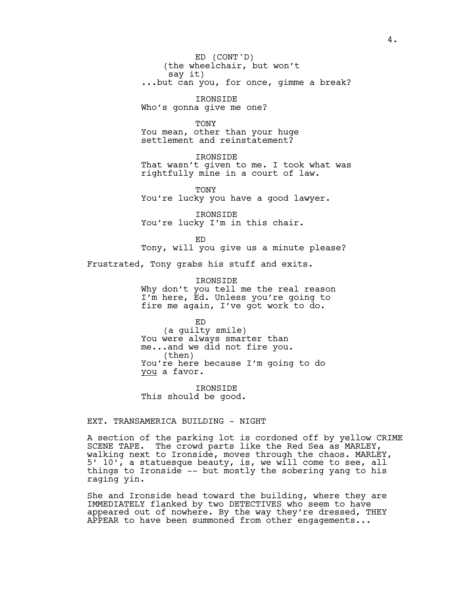(the wheelchair, but won't say it) ...but can you, for once, gimme a break? ED (CONT'D)

IRONSIDE Who's gonna give me one?

**TONY** You mean, other than your huge settlement and reinstatement?

IRONSIDE That wasn't given to me. I took what was rightfully mine in a court of law.

TONY You're lucky you have a good lawyer.

IRONSIDE You're lucky I'm in this chair.

ED Tony, will you give us a minute please? Frustrated, Tony grabs his stuff and exits.

> IRONSIDE Why don't you tell me the real reason I'm here, Ed. Unless you're going to fire me again, I've got work to do.

ED (a guilty smile) You were always smarter than me...and we did not fire you. (then) You're here because I'm going to do you a favor.

IRONSIDE This should be good.

EXT. TRANSAMERICA BUILDING - NIGHT

A section of the parking lot is cordoned off by yellow CRIME SCENE TAPE. The crowd parts like the Red Sea as MARLEY, walking next to Ironside, moves through the chaos. MARLEY, 5' 10', a statuesque beauty, is, we will come to see, all things to Ironside -- but mostly the sobering yang to his raging yin.

She and Ironside head toward the building, where they are IMMEDIATELY flanked by two DETECTIVES who seem to have appeared out of nowhere. By the way they're dressed, THEY APPEAR to have been summoned from other engagements...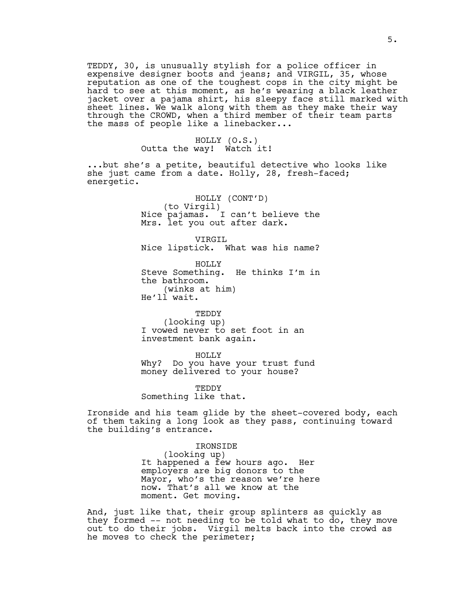TEDDY, 30, is unusually stylish for a police officer in expensive designer boots and jeans; and VIRGIL, 35, whose reputation as one of the toughest cops in the city might be hard to see at this moment, as he's wearing a black leather jacket over a pajama shirt, his sleepy face still marked with sheet lines. We walk along with them as they make their way through the CROWD, when a third member of their team parts the mass of people like a linebacker...

> HOLLY (O.S.) Outta the way! Watch it!

...but she's a petite, beautiful detective who looks like she just came from a date. Holly, 28, fresh-faced; energetic.

> HOLLY (CONT'D) (to Virgil) Nice pajamas. I can't believe the Mrs. let you out after dark.

> VIRGIL Nice lipstick. What was his name?

HOLLY Steve Something. He thinks I'm in the bathroom. (winks at him) He'll wait.

TEDDY (looking up) I vowed never to set foot in an investment bank again.

HOLLY

Why? Do you have your trust fund money delivered to your house?

TEDDY Something like that.

Ironside and his team glide by the sheet-covered body, each of them taking a long look as they pass, continuing toward the building's entrance.

> IRONSIDE (looking up) It happened a few hours ago. Her employers are big donors to the Mayor, who's the reason we're here now. That's all we know at the moment. Get moving.

And, just like that, their group splinters as quickly as they formed -- not needing to be told what to do, they move out to do their jobs. Virgil melts back into the crowd as he moves to check the perimeter;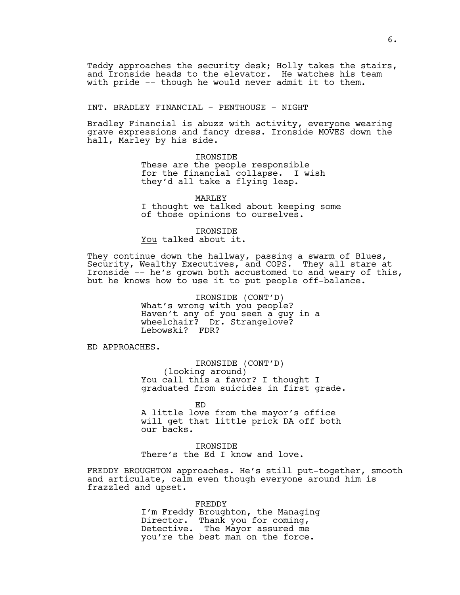Teddy approaches the security desk; Holly takes the stairs, and Ironside heads to the elevator. He watches his team with pride -- though he would never admit it to them.

INT. BRADLEY FINANCIAL - PENTHOUSE - NIGHT

Bradley Financial is abuzz with activity, everyone wearing grave expressions and fancy dress. Ironside MOVES down the hall, Marley by his side.

> IRONSIDE These are the people responsible for the financial collapse. I wish they'd all take a flying leap.

MARLEY I thought we talked about keeping some of those opinions to ourselves.

IRONSIDE

You talked about it.

They continue down the hallway, passing a swarm of Blues, Security, Wealthy Executives, and COPS. They all stare at Ironside -- he's grown both accustomed to and weary of this, but he knows how to use it to put people off-balance.

> IRONSIDE (CONT'D) What's wrong with you people? Haven't any of you seen a guy in a wheelchair? Dr. Strangelove? Lebowski? FDR?

ED APPROACHES.

IRONSIDE (CONT'D) (looking around) You call this a favor? I thought I graduated from suicides in first grade.

ED

A little love from the mayor's office will get that little prick DA off both our backs.

IRONSIDE There's the Ed I know and love.

FREDDY BROUGHTON approaches. He's still put-together, smooth and articulate, calm even though everyone around him is frazzled and upset.

FREDDY

I'm Freddy Broughton, the Managing Director. Thank you for coming, Detective. The Mayor assured me you're the best man on the force.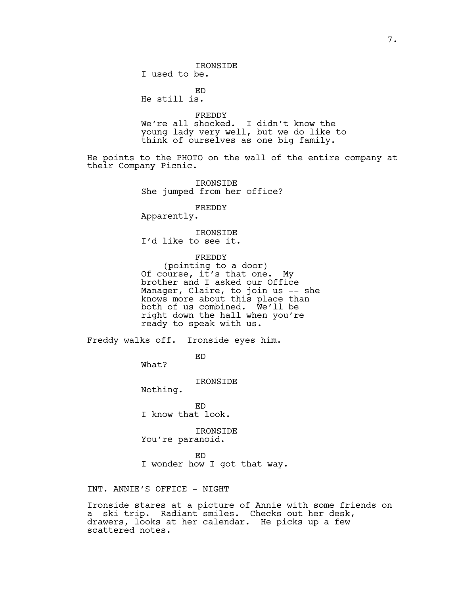IRONSIDE I used to be.

ED He still is.

FREDDY We're all shocked. I didn't know the young lady very well, but we do like to think of ourselves as one big family.

He points to the PHOTO on the wall of the entire company at their Company Picnic.

> IRONSIDE She jumped from her office?

> > FREDDY

Apparently.

IRONSIDE I'd like to see it.

FREDDY

(pointing to a door) Of course, it's that one. My brother and I asked our Office Manager, Claire, to join us -- she knows more about this place than both of us combined. We'll be right down the hall when you're ready to speak with us.

Freddy walks off. Ironside eyes him.

ED

What?

IRONSIDE

Nothing.

ED I know that look.

IRONSIDE You're paranoid.

ED

I wonder how I got that way.

INT. ANNIE'S OFFICE - NIGHT

Ironside stares at a picture of Annie with some friends on a ski trip. Radiant smiles. Checks out her desk, drawers, looks at her calendar. He picks up a few scattered notes.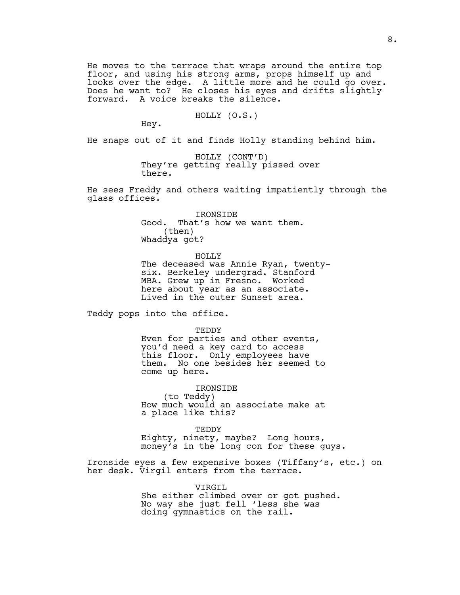He moves to the terrace that wraps around the entire top floor, and using his strong arms, props himself up and looks over the edge. A little more and he could go over. Does he want to? He closes his eyes and drifts slightly forward. A voice breaks the silence.

# HOLLY (O.S.)

Hey.

He snaps out of it and finds Holly standing behind him.

HOLLY (CONT'D) They're getting really pissed over there.

He sees Freddy and others waiting impatiently through the glass offices.

> IRONSIDE Good. That's how we want them. (then) Whaddya got?

> > HOLLY

The deceased was Annie Ryan, twentysix. Berkeley undergrad. Stanford MBA. Grew up in Fresno. Worked here about year as an associate. Lived in the outer Sunset area.

Teddy pops into the office.

TEDDY

Even for parties and other events, you'd need a key card to access this floor. Only employees have them. No one besides her seemed to come up here.

IRONSIDE (to Teddy) How much would an associate make at a place like this?

TEDDY

Eighty, ninety, maybe? Long hours, money's in the long con for these guys.

Ironside eyes a few expensive boxes (Tiffany's, etc.) on her desk. Virgil enters from the terrace.

> VIRGIL She either climbed over or got pushed. No way she just fell 'less she was doing gymnastics on the rail.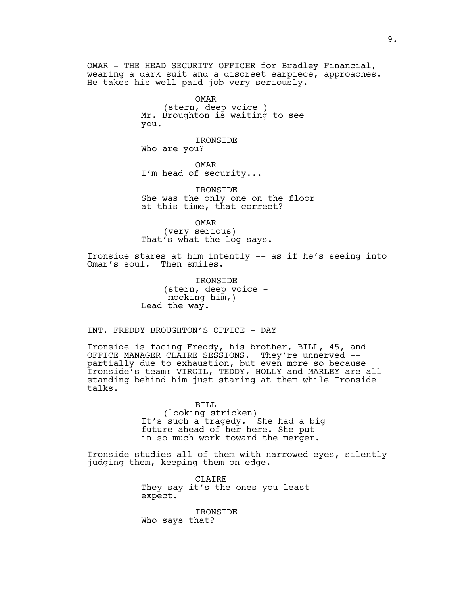OMAR - THE HEAD SECURITY OFFICER for Bradley Financial, wearing a dark suit and a discreet earpiece, approaches. He takes his well-paid job very seriously.

OMAR

(stern, deep voice ) Mr. Broughton is waiting to see you.

IRONSIDE Who are you?

OMAR I'm head of security...

IRONSIDE She was the only one on the floor at this time, that correct?

OMAR (very serious) That's what the log says.

Ironside stares at him intently -- as if he's seeing into Omar's soul. Then smiles.

> IRONSIDE (stern, deep voice mocking him, ) Lead the way.

INT. FREDDY BROUGHTON'S OFFICE - DAY

Ironside is facing Freddy, his brother, BILL, 45, and OFFICE MANAGER CLAIRE SESSIONS. They're unnerved - partially due to exhaustion, but even more so because Ironside's team: VIRGIL, TEDDY, HOLLY and MARLEY are all standing behind him just staring at them while Ironside talks.

> BILL (looking stricken) It's such a tragedy. She had a big future ahead of her here. She put in so much work toward the merger.

Ironside studies all of them with narrowed eyes, silently judging them, keeping them on-edge.

> CLAIRE They say it's the ones you least expect.

IRONSIDE Who says that?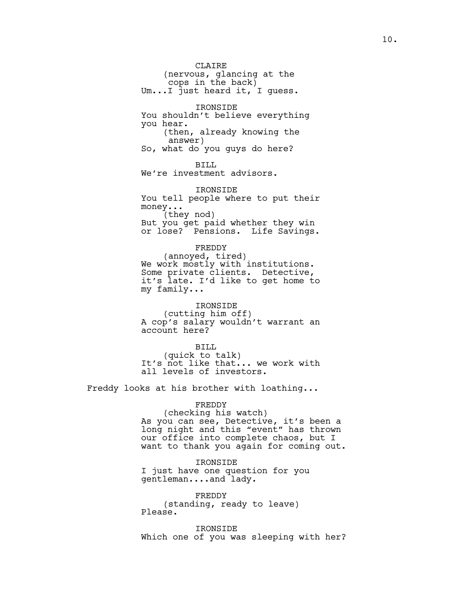CLAIRE (nervous, glancing at the cops in the back) Um...I just heard it, I guess. IRONSIDE You shouldn't believe everything you hear. (then, already knowing the answer) So, what do you guys do here? BILL We're investment advisors. IRONSIDE You tell people where to put their money... (they nod) But you get paid whether they win or lose? Pensions. Life Savings. FREDDY (annoyed, tired) We work mostly with institutions. Some private clients. Detective, it's late. I'd like to get home to my family... IRONSIDE

(cutting him off) A cop's salary wouldn't warrant an account here?

BILL (quick to talk) It's not like that... we work with all levels of investors.

Freddy looks at his brother with loathing...

FREDDY (checking his watch) As you can see, Detective, it's been a long night and this "event" has thrown our office into complete chaos, but I want to thank you again for coming out.

IRONSIDE I just have one question for you gentleman....and lady.

FREDDY (standing, ready to leave) Please.

IRONSIDE Which one of you was sleeping with her?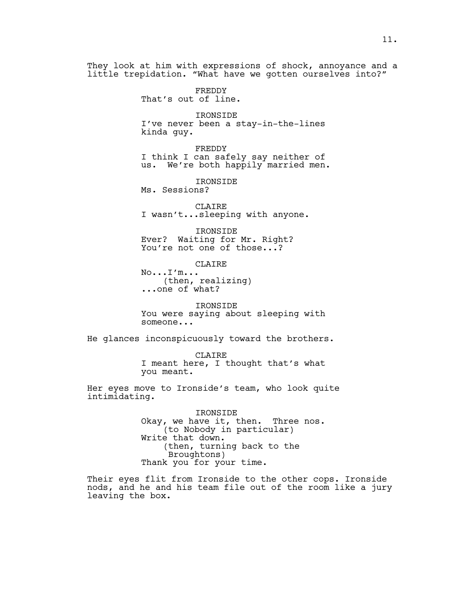They look at him with expressions of shock, annoyance and a little trepidation. "What have we gotten ourselves into?"

> FREDDY That's out of line.

IRONSIDE I've never been a stay-in-the-lines kinda guy.

FREDDY I think I can safely say neither of us. We're both happily married men.

IRONSIDE

Ms. Sessions?

CLAIRE I wasn't...sleeping with anyone.

IRONSIDE Ever? Waiting for Mr. Right? You're not one of those...?

CLAIRE No...I'm... (then, realizing) ...one of what?

IRONSIDE You were saying about sleeping with someone...

He glances inconspicuously toward the brothers.

CLAIRE I meant here, I thought that's what you meant.

Her eyes move to Ironside's team, who look quite intimidating.

> IRONSIDE Okay, we have it, then. Three nos. (to Nobody in particular) Write that down. (then, turning back to the Broughtons) Thank you for your time.

Their eyes flit from Ironside to the other cops. Ironside nods, and he and his team file out of the room like a jury leaving the box.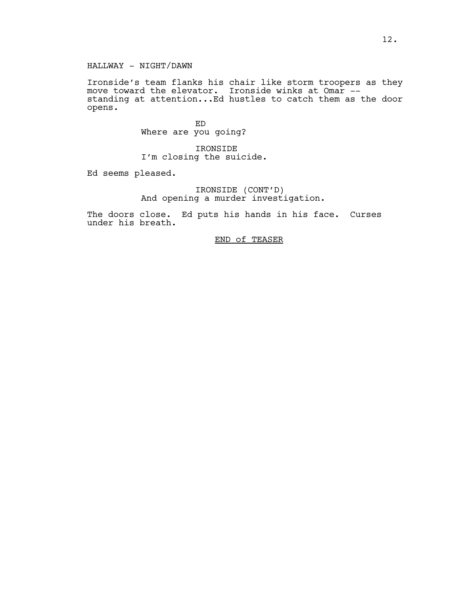# HALLWAY - NIGHT/DAWN

Ironside's team flanks his chair like storm troopers as they move toward the elevator. Ironside winks at Omar - standing at attention...Ed hustles to catch them as the door opens.

> ED Where are you going?

IRONSIDE I'm closing the suicide.

Ed seems pleased.

IRONSIDE (CONT'D) And opening a murder investigation.

The doors close. Ed puts his hands in his face. Curses under his breath.

END of TEASER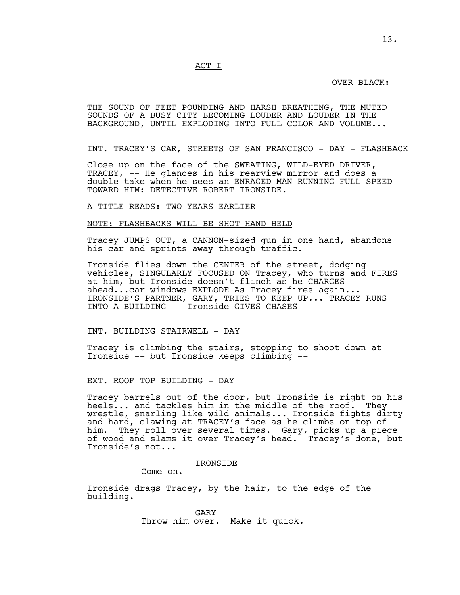ACT I

# OVER BLACK:

THE SOUND OF FEET POUNDING AND HARSH BREATHING, THE MUTED SOUNDS OF A BUSY CITY BECOMING LOUDER AND LOUDER IN THE BACKGROUND, UNTIL EXPLODING INTO FULL COLOR AND VOLUME...

INT. TRACEY'S CAR, STREETS OF SAN FRANCISCO - DAY - FLASHBACK

Close up on the face of the SWEATING, WILD-EYED DRIVER, TRACEY, -- He glances in his rearview mirror and does a double-take when he sees an ENRAGED MAN RUNNING FULL-SPEED TOWARD HIM: DETECTIVE ROBERT IRONSIDE.

A TITLE READS: TWO YEARS EARLIER

#### NOTE: FLASHBACKS WILL BE SHOT HAND HELD

Tracey JUMPS OUT, a CANNON-sized gun in one hand, abandons his car and sprints away through traffic.

Ironside flies down the CENTER of the street, dodging vehicles, SINGULARLY FOCUSED ON Tracey, who turns and FIRES at him, but Ironside doesn't flinch as he CHARGES ahead...car windows EXPLODE As Tracey fires again... IRONSIDE'S PARTNER, GARY, TRIES TO KEEP UP... TRACEY RUNS INTO A BUILDING -- Ironside GIVES CHASES --

INT. BUILDING STAIRWELL - DAY

Tracey is climbing the stairs, stopping to shoot down at Ironside -- but Ironside keeps climbing --

EXT. ROOF TOP BUILDING - DAY

Tracey barrels out of the door, but Ironside is right on his heels... and tackles him in the middle of the roof. They wrestle, snarling like wild animals... Ironside fights dirty and hard, clawing at TRACEY's face as he climbs on top of<br>him. They roll over several times. Gary, picks up a piee They roll over several times. Gary, picks up a piece of wood and slams it over Tracey's head. Tracey's done, but Ironside's not...

IRONSIDE

Come on.

Ironside drags Tracey, by the hair, to the edge of the building.

> GARY Throw him over. Make it quick.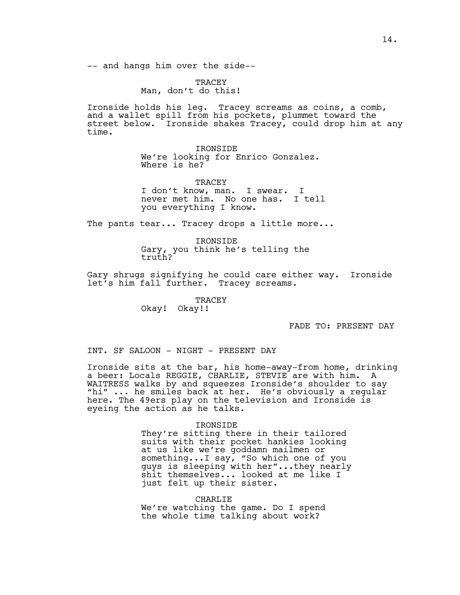-- and hangs him over the side--

**TRACEY** Man, don't do this!

Ironside holds his leg. Tracey screams as coins, a comb, and a wallet spill from his pockets, plummet toward the street below. Ironside shakes Tracey, could drop him at any time.

> IRONSIDE We're looking for Enrico Gonzalez. Where is he?

**TRACEY** I don't know, man. I swear. I never met him. No one has. I tell you everything I know.

The pants tear... Tracey drops a little more...

IRONSIDE Gary, you think he's telling the truth?

Gary shrugs signifying he could care either way. Ironside let's him fall further. Tracey screams.

> TRACEY Okay! Okay!!

> > FADE TO: PRESENT DAY

INT. SF SALOON - NIGHT - PRESENT DAY

Ironside sits at the bar, his home-away-from home, drinking a beer: Locals REGGIE, CHARLIE, STEVIE are with him. A WAITRESS walks by and squeezes Ironside's shoulder to say "hi" ... he smiles back at her. He's obviously a regular here. The 49ers play on the television and Ironside is eyeing the action as he talks.

#### IRONSIDE

They're sitting there in their tailored suits with their pocket hankies looking at us like we're goddamn mailmen or something...I say, "So which one of you guys is sleeping with her"...they nearly shit themselves... looked at me like I just felt up their sister.

CHARLIE We're watching the game. Do I spend the whole time talking about work?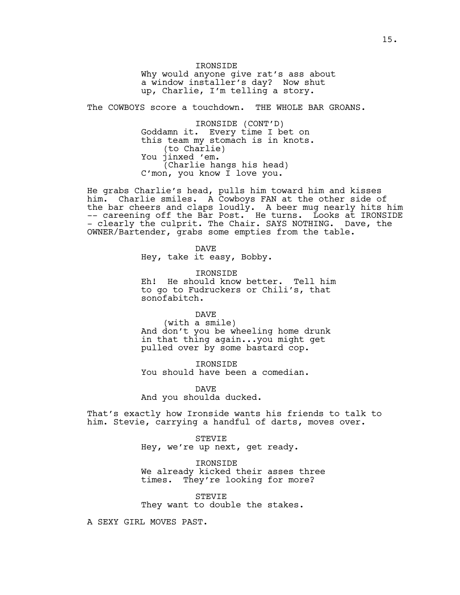IRONSIDE Why would anyone give rat's ass about a window installer's day? Now shut up, Charlie, I'm telling a story.

The COWBOYS score a touchdown. THE WHOLE BAR GROANS.

IRONSIDE (CONT'D) Goddamn it. Every time I bet on this team my stomach is in knots. (to Charlie) You jinxed 'em. (Charlie hangs his head) C'mon, you know I love you.

He grabs Charlie's head, pulls him toward him and kisses him. Charlie smiles. A Cowboys FAN at the other side of the bar cheers and claps loudly. A beer mug nearly hits him -- careening off the Bar Post. He turns. Looks at IRONSIDE - clearly the culprit. The Chair. SAYS NOTHING. Dave, the OWNER/Bartender, grabs some empties from the table.

> DAVE Hey, take it easy, Bobby.

IRONSIDE Eh! He should know better. Tell him to go to Fudruckers or Chili's, that sonofabitch.

DAVE

(with a smile) And don't you be wheeling home drunk in that thing again...you might get pulled over by some bastard cop.

IRONSIDE You should have been a comedian.

DAVE And you shoulda ducked.

That's exactly how Ironside wants his friends to talk to him. Stevie, carrying a handful of darts, moves over.

> STEVIE Hey, we're up next, get ready.

IRONSIDE We already kicked their asses three times. They're looking for more?

STEVIE They want to double the stakes.

A SEXY GIRL MOVES PAST.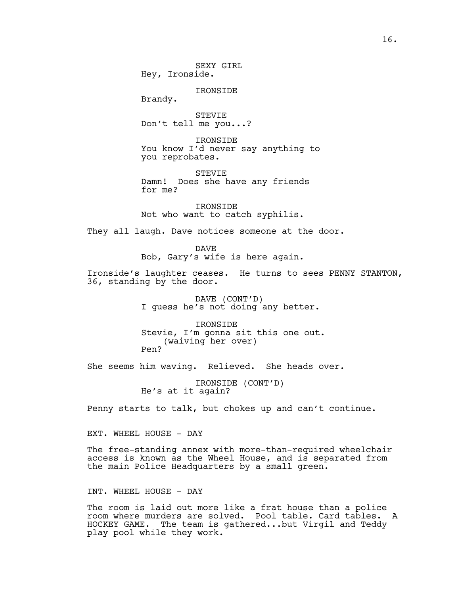SEXY GIRL Hey, Ironside.

IRONSIDE

Brandy.

STEVIE Don't tell me you...?

IRONSIDE You know I'd never say anything to you reprobates.

STEVIE Damn! Does she have any friends for me?

IRONSIDE Not who want to catch syphilis.

They all laugh. Dave notices someone at the door.

DAVE Bob, Gary's wife is here again.

Ironside's laughter ceases. He turns to sees PENNY STANTON, 36, standing by the door.

> DAVE (CONT'D) I guess he's not doing any better.

IRONSIDE Stevie, I'm gonna sit this one out. (waiving her over) Pen?

She seems him waving. Relieved. She heads over.

IRONSIDE (CONT'D) He's at it again?

Penny starts to talk, but chokes up and can't continue.

EXT. WHEEL HOUSE - DAY

The free-standing annex with more-than-required wheelchair access is known as the Wheel House, and is separated from the main Police Headquarters by a small green.

INT. WHEEL HOUSE - DAY

The room is laid out more like a frat house than a police room where murders are solved. Pool table. Card tables. A HOCKEY GAME. The team is gathered...but Virgil and Teddy play pool while they work.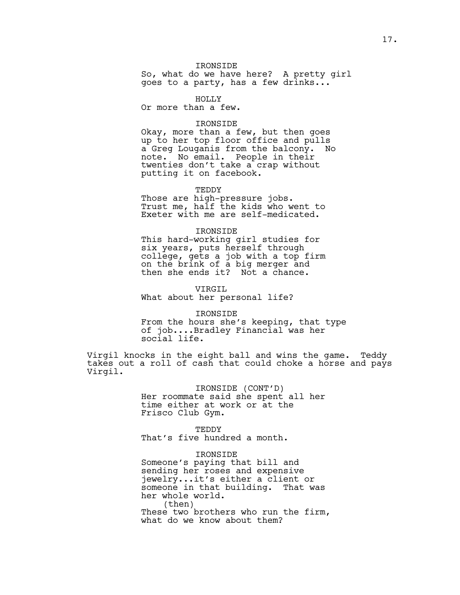# IRONSIDE So, what do we have here? A pretty girl goes to a party, has a few drinks...

HOLLY

Or more than a few.

## IRONSIDE

Okay, more than a few, but then goes up to her top floor office and pulls a Greg Louganis from the balcony. No note. No email. People in their twenties don't take a crap without putting it on facebook.

TEDDY

Those are high-pressure jobs. Trust me, half the kids who went to Exeter with me are self-medicated.

#### IRONSIDE

This hard-working girl studies for six years, puts herself through college, gets a job with a top firm on the brink of a big merger and then she ends it? Not a chance.

VIRGIL What about her personal life?

IRONSIDE From the hours she's keeping, that type of job....Bradley Financial was her social life.

Virgil knocks in the eight ball and wins the game. Teddy takes out a roll of cash that could choke a horse and pays Virgil.

> IRONSIDE (CONT'D) Her roommate said she spent all her time either at work or at the Frisco Club Gym.

**TEDDY** That's five hundred a month.

IRONSIDE

Someone's paying that bill and sending her roses and expensive jewelry...it's either a client or someone in that building. That was her whole world. (then) These two brothers who run the firm, what do we know about them?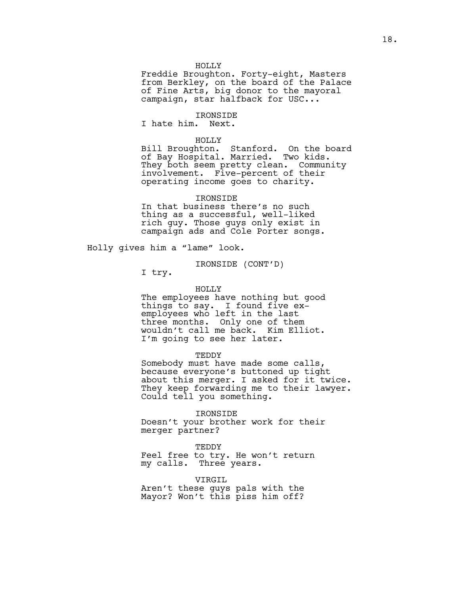#### HOLLY

Freddie Broughton. Forty-eight, Masters from Berkley, on the board of the Palace of Fine Arts, big donor to the mayoral campaign, star halfback for USC...

# IRONSIDE

I hate him. Next.

## HOLLY

Bill Broughton. Stanford. On the board of Bay Hospital. Married. Two kids. They both seem pretty clean. Community involvement. Five-percent of their operating income goes to charity.

#### IRONSIDE

In that business there's no such thing as a successful, well-liked rich guy. Those guys only exist in campaign ads and Cole Porter songs.

Holly gives him a "lame" look.

IRONSIDE (CONT'D)

I try.

## HOLLY

The employees have nothing but good things to say. I found five exemployees who left in the last three months. Only one of them wouldn't call me back. Kim Elliot. I'm going to see her later.

#### **TEDDY**

Somebody must have made some calls, because everyone's buttoned up tight about this merger. I asked for it twice. They keep forwarding me to their lawyer. Could tell you something.

#### IRONSIDE

Doesn't your brother work for their merger partner?

TEDDY

Feel free to try. He won't return my calls. Three years.

# VIRGIL

Aren't these guys pals with the Mayor? Won't this piss him off?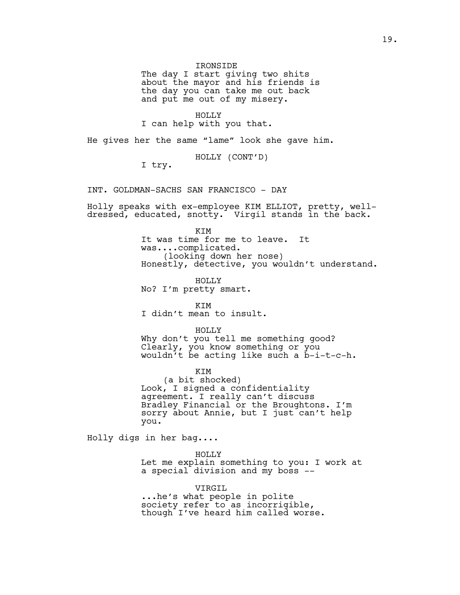### IRONSIDE

The day I start giving two shits about the mayor and his friends is the day you can take me out back and put me out of my misery.

# HOLLY

I can help with you that.

He gives her the same "lame" look she gave him.

HOLLY (CONT'D)

I try.

INT. GOLDMAN-SACHS SAN FRANCISCO - DAY

Holly speaks with ex-employee KIM ELLIOT, pretty, welldressed, educated, snotty. Virgil stands in the back.

KIM

It was time for me to leave. It was....complicated. (looking down her nose) Honestly, detective, you wouldn't understand.

HOLLY No? I'm pretty smart.

KIM I didn't mean to insult.

HOLLY

Why don't you tell me something good? Clearly, you know something or you wouldn't be acting like such a b-i-t-c-h.

## KIM

(a bit shocked) Look, I signed a confidentiality agreement. I really can't discuss Bradley Financial or the Broughtons. I'm sorry about Annie, but I just can't help you.

Holly digs in her bag....

#### HOLLY

Let me explain something to you: I work at a special division and my boss --

VIRGIL

...he's what people in polite society refer to as incorrigible, though I've heard him called worse.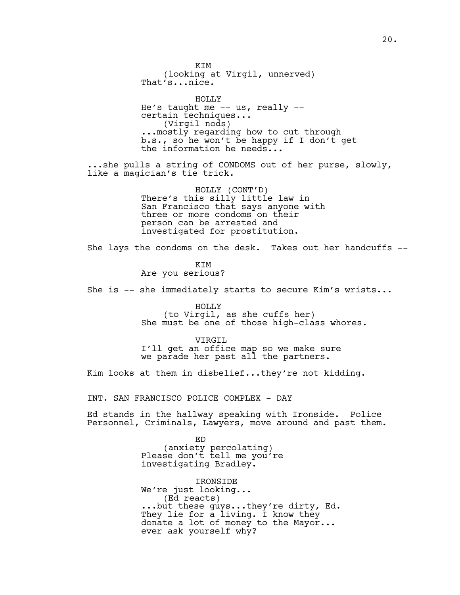KIM (looking at Virgil, unnerved) That's...nice. HOLLY He's taught me -- us, really - certain techniques... (Virgil nods) ...mostly regarding how to cut through b.s., so he won't be happy if I don't get the information he needs... ..she pulls a string of CONDOMS out of her purse, slowly, like a magician's tie trick. HOLLY (CONT'D) There's this silly little law in San Francisco that says anyone with three or more condoms on their person can be arrested and investigated for prostitution. She lays the condoms on the desk. Takes out her handcuffs -- KIM Are you serious? She is -- she immediately starts to secure Kim's wrists... HOLLY (to Virgil, as she cuffs her) She must be one of those high-class whores. VIRGIL I'll get an office map so we make sure we parade her past all the partners. Kim looks at them in disbelief...they're not kidding. INT. SAN FRANCISCO POLICE COMPLEX - DAY Ed stands in the hallway speaking with Ironside. Police Personnel, Criminals, Lawyers, move around and past them. ED (anxiety percolating) Please don't tell me you're investigating Bradley. IRONSIDE We're just looking... (Ed reacts) ...but these guys...they're dirty, Ed. They lie for a living. I know they donate a lot of money to the Mayor...

20.

ever ask yourself why?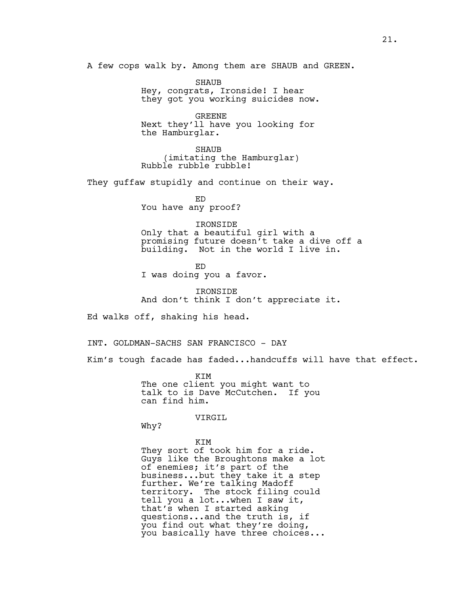A few cops walk by. Among them are SHAUB and GREEN.

SHAUB Hey, congrats, Ironside! I hear they got you working suicides now.

GREENE Next they'll have you looking for the Hamburglar.

SHAUB (imitating the Hamburglar) Rubble rubble rubble!

They guffaw stupidly and continue on their way.

ED You have any proof?

IRONSIDE Only that a beautiful girl with a promising future doesn't take a dive off a building. Not in the world I live in.

ED I was doing you a favor.

IRONSIDE And don't think I don't appreciate it.

Ed walks off, shaking his head.

INT. GOLDMAN-SACHS SAN FRANCISCO - DAY

Kim's tough facade has faded...handcuffs will have that effect.

KIM The one client you might want to talk to is Dave McCutchen. If you can find him.

# VIRGIL

Why?

KIM They sort of took him for a ride. Guys like the Broughtons make a lot of enemies; it's part of the business..**.**but they take it a step further. We're talking Madoff territory. The stock filing could tell you a lot...when I saw it, that's when I started asking questions...and the truth is, if you find out what they're doing, you basically have three choices...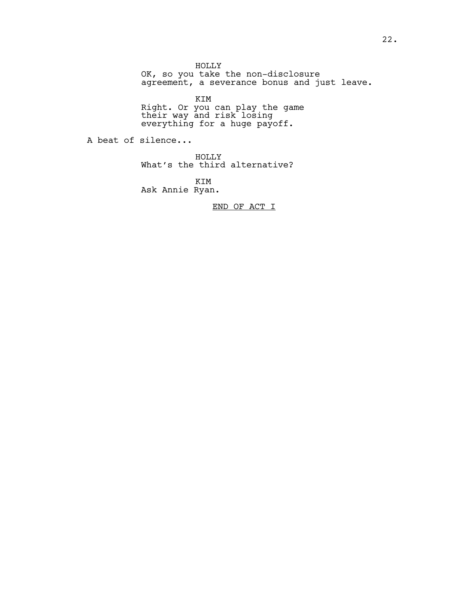HOLLY OK, so you take the non-disclosure agreement, a severance bonus and just leave.

KIM

Right. Or you can play the game their way and risk losing everything for a huge payoff.

A beat of silence...

HOLLY

What's the third alternative?

KIM

Ask Annie Ryan.

END OF ACT I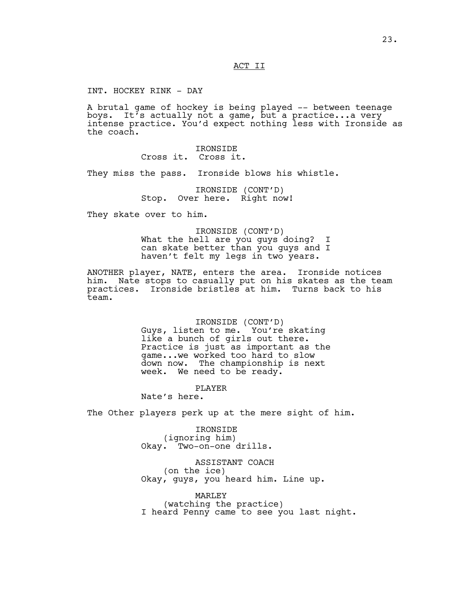ACT II

INT. HOCKEY RINK - DAY

A brutal game of hockey is being played -- between teenage boys. It's actually not a game, but a practice...a very intense practice. You'd expect nothing less with Ironside as the coach.

> IRONSIDE Cross it. Cross it.

They miss the pass. Ironside blows his whistle.

IRONSIDE (CONT'D) Stop. Over here. Right now!

They skate over to him.

IRONSIDE (CONT'D) What the hell are you guys doing? I can skate better than you guys and I haven't felt my legs in two years.

ANOTHER player, NATE, enters the area. Ironside notices him. Nate stops to casually put on his skates as the team practices. Ironside bristles at him. Turns back to his team.

# IRONSIDE (CONT'D)

Guys, listen to me. You're skating like a bunch of girls out there. Practice is just as important as the game...we worked too hard to slow down now. The championship is next week. We need to be ready.

## PLAYER

Nate's here.

The Other players perk up at the mere sight of him.

IRONSIDE (ignoring him) Okay. Two-on-one drills.

ASSISTANT COACH (on the ice) Okay, guys, you heard him. Line up.

MARLEY (watching the practice) I heard Penny came to see you last night.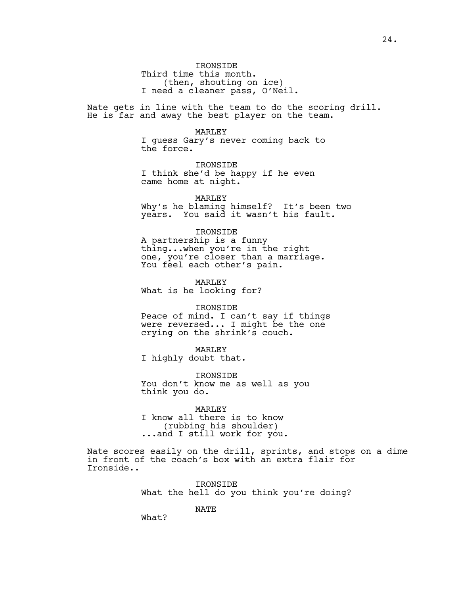IRONSIDE Third time this month. (then, shouting on ice) I need a cleaner pass, O'Neil.

Nate gets in line with the team to do the scoring drill. He is far and away the best player on the team.

## MARLEY

I guess Gary's never coming back to the force.

IRONSIDE I think she'd be happy if he even came home at night.

MARLEY

Why's he blaming himself? It's been two years. You said it wasn't his fault.

#### IRONSIDE

A partnership is a funny thing...when you're in the right one, you're closer than a marriage. You feel each other's pain.

MARLEY What is he looking for?

#### IRONSIDE

Peace of mind. I can't say if things were reversed... I might be the one crying on the shrink's couch.

MARLEY I highly doubt that.

IRONSIDE You don't know me as well as you think you do.

# MARLEY

I know all there is to know (rubbing his shoulder) ...and I still work for you.

Nate scores easily on the drill, sprints, and stops on a dime in front of the coach's box with an extra flair for Ironside..

> IRONSIDE What the hell do you think you're doing?

> > NATE

What?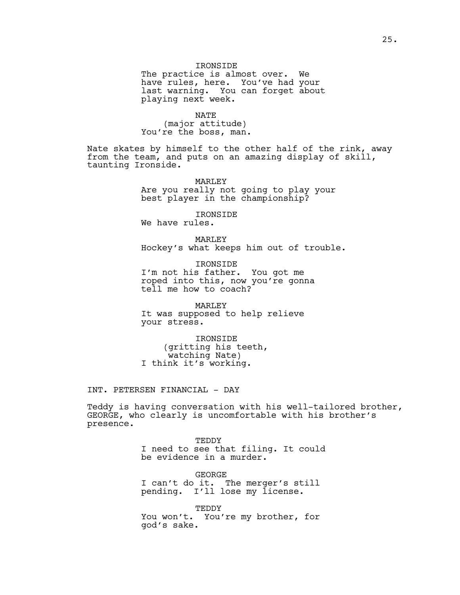# IRONSIDE

The practice is almost over. We have rules, here. You've had your last warning. You can forget about playing next week.

NATE (major attitude) You're the boss, man.

Nate skates by himself to the other half of the rink, away from the team, and puts on an amazing display of skill, taunting Ironside.

> MARLEY Are you really not going to play your best player in the championship?

IRONSIDE We have rules.

MARLEY Hockey's what keeps him out of trouble.

IRONSIDE I'm not his father. You got me roped into this, now you're gonna tell me how to coach?

MARLEY It was supposed to help relieve your stress.

IRONSIDE (gritting his teeth, watching Nate) I think it's working.

INT. PETERSEN FINANCIAL - DAY

Teddy is having conversation with his well-tailored brother, GEORGE, who clearly is uncomfortable with his brother's presence.

> TEDDY I need to see that filing. It could be evidence in a murder.

GEORGE I can't do it. The merger's still pending. I'll lose my license.

TEDDY You won't. You're my brother, for god's sake.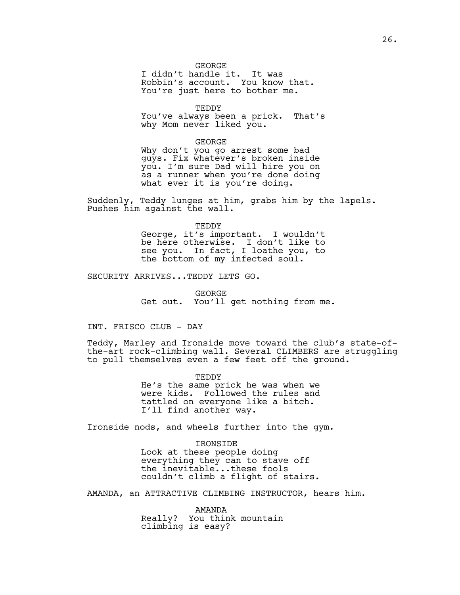#### GEORGE

I didn't handle it. It was Robbin's account. You know that. You're just here to bother me.

**TEDDY** 

You've always been a prick. That's why Mom never liked you.

GEORGE

Why don't you go arrest some bad guys. Fix whatever's broken inside you. I'm sure Dad will hire you on as a runner when you're done doing what ever it is you're doing.

Suddenly, Teddy lunges at him, grabs him by the lapels. Pushes him against the wall.

> TEDDY George, it's important. I wouldn't be here otherwise. I don't like to see you. In fact, I loathe you, to the bottom of my infected soul.

SECURITY ARRIVES...TEDDY LETS GO.

GEORGE Get out. You'll get nothing from me.

INT. FRISCO CLUB - DAY

Teddy, Marley and Ironside move toward the club's state-ofthe-art rock-climbing wall. Several CLIMBERS are struggling to pull themselves even a few feet off the ground.

> TEDDY He's the same prick he was when we were kids. Followed the rules and tattled on everyone like a bitch. I'll find another way.

Ironside nods, and wheels further into the gym.

IRONSIDE Look at these people doing everything they can to stave off the inevitable...these fools couldn't climb a flight of stairs.

AMANDA, an ATTRACTIVE CLIMBING INSTRUCTOR, hears him.

AMANDA Really? You think mountain climbing is easy?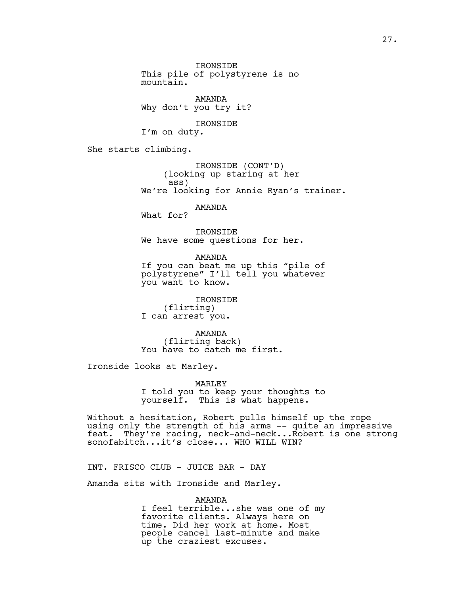IRONSIDE This pile of polystyrene is no mountain. AMANDA Why don't you try it? IRONSIDE I'm on duty. She starts climbing. IRONSIDE (CONT'D) (looking up staring at her ass) We're looking for Annie Ryan's trainer. AMANDA What for? IRONSIDE We have some questions for her. AMANDA If you can beat me up this "pile of polystyrene" I'll tell you whatever you want to know. IRONSIDE (flirting) I can arrest you. AMANDA (flirting back) You have to catch me first. Ironside looks at Marley. MARLEY I told you to keep your thoughts to yourself. This is what happens. Without a hesitation, Robert pulls himself up the rope using only the strength of his arms -- quite an impressive feat. They're racing, neck-and-neck...Robert is one strong sonofabitch...it's close... WHO WILL WIN?

INT. FRISCO CLUB - JUICE BAR - DAY

Amanda sits with Ironside and Marley.

AMANDA I feel terrible...she was one of my favorite clients. Always here on time. Did her work at home. Most people cancel last-minute and make up the craziest excuses.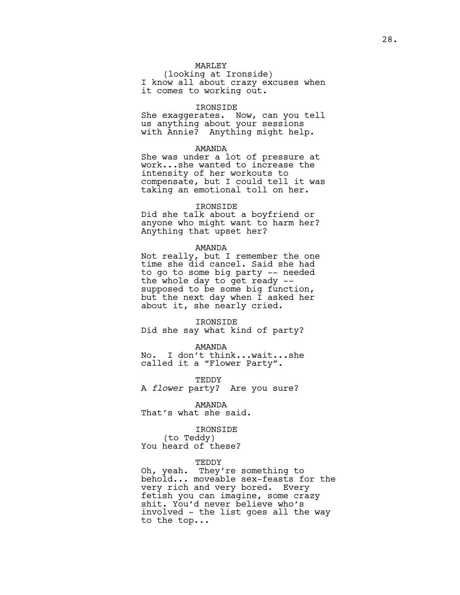# MARLEY

(looking at Ironside) I know all about crazy excuses when it comes to working out.

# IRONSIDE

She exaggerates. Now, can you tell us anything about your sessions with Annie? Anything might help.

## AMANDA

She was under a lot of pressure at work...she wanted to increase the intensity of her workouts to compensate, but I could tell it was taking an emotional toll on her.

## IRONSIDE

Did she talk about a boyfriend or anyone who might want to harm her? Anything that upset her?

#### AMANDA

Not really, but I remember the one time she did cancel. Said she had to go to some big party -- needed the whole day to get ready - supposed to be some big function, but the next day when I asked her about it, she nearly cried.

#### IRONSIDE

Did she say what kind of party?

AMANDA

No. I don't think...wait...she called it a "Flower Party".

TEDDY

A *flower* party? Are you sure?

AMANDA

That's what she said.

# IRONSIDE

(to Teddy) You heard of these?

## TEDDY

Oh, yeah. They're something to behold... moveable sex-feasts for the very rich and very bored. Every fetish you can imagine, some crazy shit. You'd never believe who's involved - the list goes all the way to the top**..**.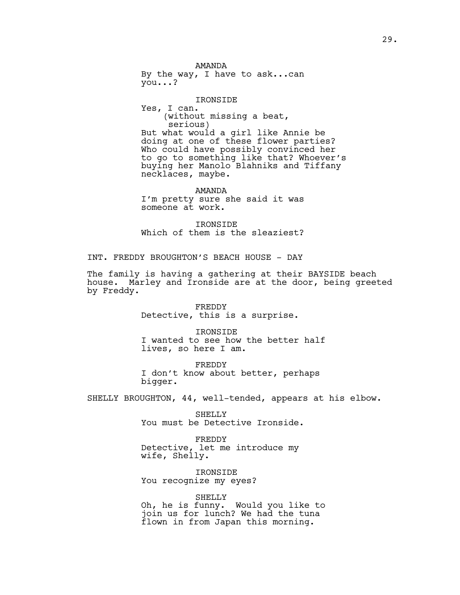AMANDA By the way, I have to ask...can you...?

IRONSIDE Yes, I can. (without missing a beat, serious) But what would a girl like Annie be doing at one of these flower parties? Who could have possibly convinced her to go to something like that? Whoever's buying her Manolo Blahniks and Tiffany necklaces, maybe.

AMANDA I'm pretty sure she said it was someone at work.

IRONSIDE Which of them is the sleaziest?

INT. FREDDY BROUGHTON'S BEACH HOUSE - DAY

The family is having a gathering at their BAYSIDE beach house. Marley and Ironside are at the door, being greeted by Freddy.

> FREDDY Detective, this is a surprise.

IRONSIDE I wanted to see how the better half lives, so here I am.

FREDDY I don't know about better, perhaps bigger.

SHELLY BROUGHTON, 44, well-tended, appears at his elbow.

SHELLY You must be Detective Ironside.

FREDDY Detective, let me introduce my wife, Shelly.

IRONSIDE You recognize my eyes?

#### SHELLY

Oh, he is funny. Would you like to join us for lunch? We had the tuna flown in from Japan this morning.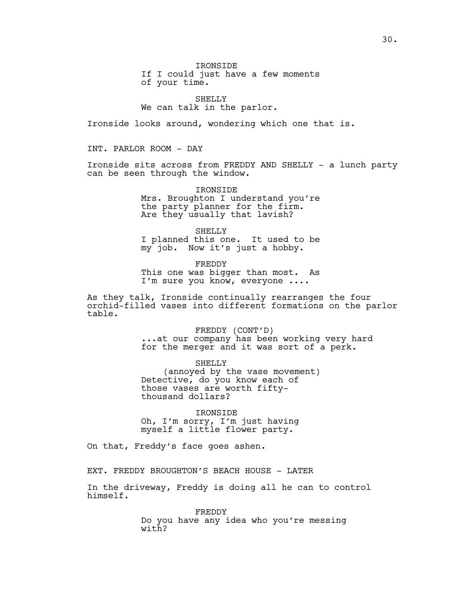IRONSIDE If I could just have a few moments of your time.

SHELLY We can talk in the parlor.

Ironside looks around, wondering which one that is.

INT. PARLOR ROOM - DAY

Ironside sits across from FREDDY AND SHELLY - a lunch party can be seen through the window.

> IRONSIDE Mrs. Broughton I understand you're the party planner for the firm. Are they usually that lavish?

SHELLY I planned this one. It used to be my job. Now it's just a hobby.

FREDDY This one was bigger than most. As I'm sure you know, everyone ....

As they talk, Ironside continually rearranges the four orchid-filled vases into different formations on the parlor table.

> FREDDY (CONT'D) ...at our company has been working very hard for the merger and it was sort of a perk.

SHELLY (annoyed by the vase movement) Detective, do you know each of those vases are worth fiftythousand dollars?

IRONSIDE Oh, I'm sorry, I'm just having myself a little flower party.

On that, Freddy's face goes ashen.

EXT. FREDDY BROUGHTON'S BEACH HOUSE - LATER

In the driveway, Freddy is doing all he can to control himself.

> FREDDY Do you have any idea who you're messing with?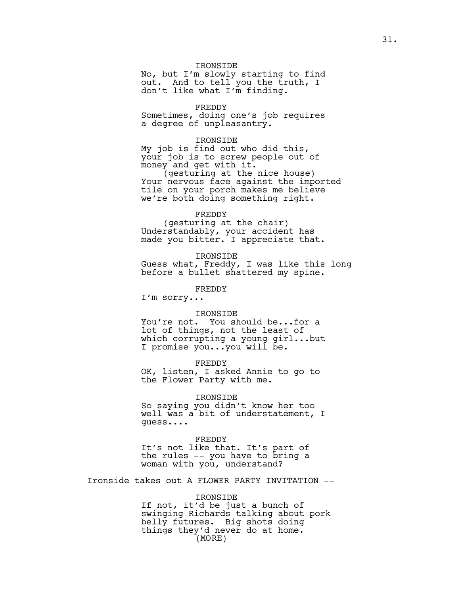# IRONSIDE

No, but I'm slowly starting to find out. And to tell you the truth, I don't like what I'm finding.

# FREDDY

Sometimes, doing one's job requires a degree of unpleasantry.

#### IRONSIDE

My job is find out who did this, your job is to screw people out of money and get with it.

(gesturing at the nice house) Your nervous face against the imported tile on your porch makes me believe we're both doing something right.

# FREDDY

(gesturing at the chair) Understandably, your accident has made you bitter. I appreciate that.

IRONSIDE Guess what, Freddy, I was like this long before a bullet shattered my spine.

FREDDY

I'm sorry...

# IRONSIDE

You're not. You should be...for a lot of things, not the least of which corrupting a young girl...but I promise you...you will be.

## FREDDY

OK, listen, I asked Annie to go to the Flower Party with me.

#### IRONSIDE

So saying you didn't know her too well was a bit of understatement, I guess....

#### FREDDY

It's not like that. It's part of the rules -- you have to bring a woman with you, understand?

Ironside takes out A FLOWER PARTY INVITATION --

#### IRONSIDE

If not, it'd be just a bunch of swinging Richards talking about pork belly futures. Big shots doing things they'd never do at home. (MORE)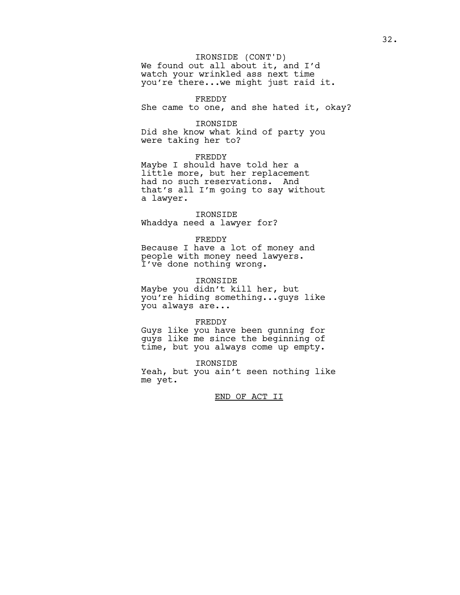# IRONSIDE (CONT'D)

We found out all about it, and I'd watch your wrinkled ass next time you're there...we might just raid it.

#### FREDDY

She came to one, and she hated it, okay?

# IRONSIDE

Did she know what kind of party you were taking her to?

# FREDDY

Maybe I should have told her a little more, but her replacement had no such reservations. And that's all I'm going to say without a lawyer.

# IRONSIDE Whaddya need a lawyer for?

## FREDDY

Because I have a lot of money and people with money need lawyers. I've done nothing wrong.

# IRONSIDE

Maybe you didn't kill her, but you're hiding something...guys like you always are...

## FREDDY

Guys like you have been gunning for guys like me since the beginning of time, but you always come up empty.

IRONSIDE

Yeah, but you ain't seen nothing like me yet.

# END OF ACT II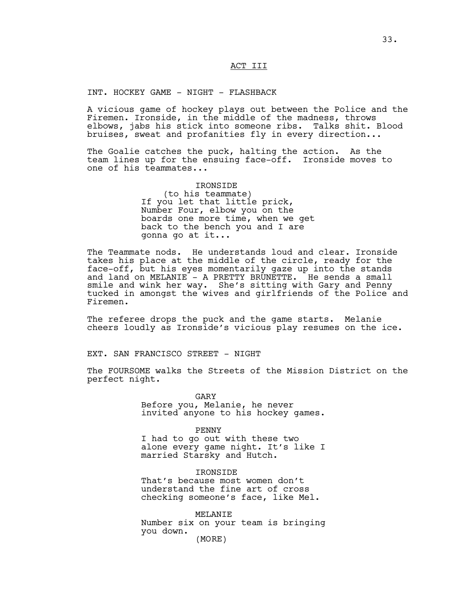# ACT III

# INT. HOCKEY GAME - NIGHT - FLASHBACK

A vicious game of hockey plays out between the Police and the Firemen. Ironside, in the middle of the madness, throws elbows, jabs his stick into someone ribs. Talks shit. Blood bruises, sweat and profanities fly in every direction...

The Goalie catches the puck, halting the action. As the team lines up for the ensuing face-off. Ironside moves to one of his teammates...

> IRONSIDE (to his teammate) If you let that little prick, Number Four, elbow you on the boards one more time, when we get back to the bench you and I are gonna go at it...

The Teammate nods. He understands loud and clear. Ironside takes his place at the middle of the circle, ready for the face-off, but his eyes momentarily gaze up into the stands and land on MELANIE - A PRETTY BRUNETTE. He sends a small smile and wink her way. She's sitting with Gary and Penny tucked in amongst the wives and girlfriends of the Police and Firemen.

The referee drops the puck and the game starts. Melanie cheers loudly as Ironside's vicious play resumes on the ice.

EXT. SAN FRANCISCO STREET - NIGHT

The FOURSOME walks the Streets of the Mission District on the perfect night.

GARY

Before you, Melanie, he never invited anyone to his hockey games.

PENNY

I had to go out with these two alone every game night. It's like I married Starsky and Hutch.

IRONSIDE

That's because most women don't understand the fine art of cross checking someone's face, like Mel.

MELANIE Number six on your team is bringing you down. (MORE)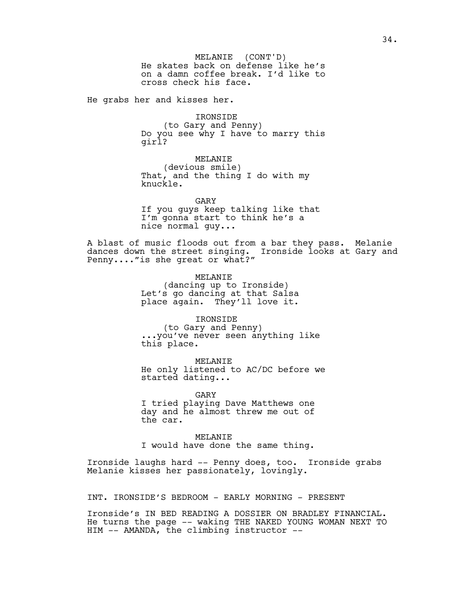He skates back on defense like he's on a damn coffee break. I'd like to cross check his face. MELANIE (CONT'D)

He grabs her and kisses her.

IRONSIDE (to Gary and Penny) Do you see why I have to marry this girl?

MELANIE (devious smile) That, and the thing I do with my knuckle.

GARY If you guys keep talking like that I'm gonna start to think he's a nice normal guy...

A blast of music floods out from a bar they pass. Melanie dances down the street singing. Ironside looks at Gary and Penny...."is she great or what?"

> MELANIE (dancing up to Ironside) Let's go dancing at that Salsa place again. They'll love it.

IRONSIDE (to Gary and Penny) ...you've never seen anything like this place.

MELANIE He only listened to AC/DC before we started dating...

GARY I tried playing Dave Matthews one day and he almost threw me out of the car.

MELANIE I would have done the same thing.

Ironside laughs hard -- Penny does, too. Ironside grabs Melanie kisses her passionately, lovingly.

INT. IRONSIDE'S BEDROOM - EARLY MORNING - PRESENT

Ironside's IN BED READING A DOSSIER ON BRADLEY FINANCIAL. He turns the page -- waking THE NAKED YOUNG WOMAN NEXT TO HIM -- AMANDA, the climbing instructor --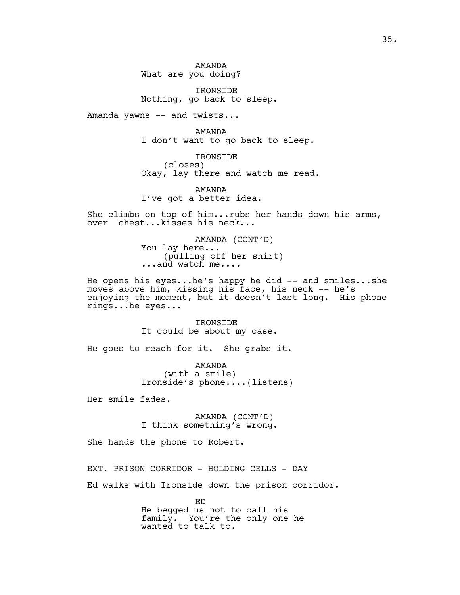AMANDA What are you doing?

IRONSIDE Nothing, go back to sleep.

Amanda yawns -- and twists...

AMANDA I don't want to go back to sleep.

IRONSIDE (closes) Okay, lay there and watch me read.

AMANDA I've got a better idea.

She climbs on top of him...rubs her hands down his arms, over chest...kisses his neck...

> AMANDA (CONT'D) You lay here... (pulling off her shirt) ...and watch me....

He opens his eyes...he's happy he did -- and smiles...she moves above him, kissing his face, his neck -- he's enjoying the moment, but it doesn't last long. His phone rings...he eyes...

> IRONSIDE It could be about my case.

He goes to reach for it. She grabs it.

AMANDA (with a smile) Ironside's phone....(listens)

Her smile fades.

AMANDA (CONT'D) I think something's wrong.

She hands the phone to Robert.

EXT. PRISON CORRIDOR - HOLDING CELLS - DAY

Ed walks with Ironside down the prison corridor.

ED He begged us not to call his family. You're the only one he wanted to talk to.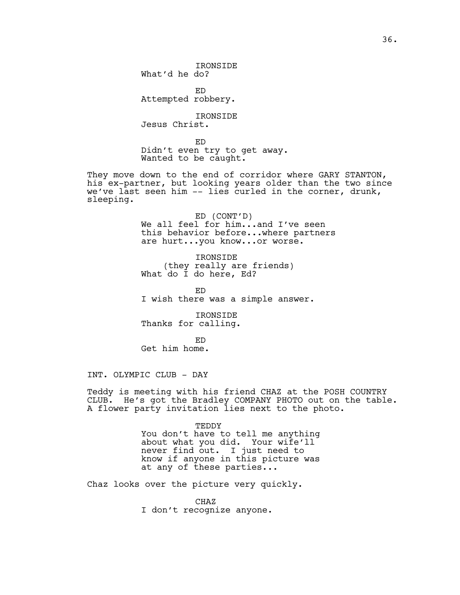IRONSIDE What'd he do?

ED Attempted robbery.

IRONSIDE Jesus Christ.

ED Didn't even try to get away. Wanted to be caught.

They move down to the end of corridor where GARY STANTON, his ex-partner, but looking years older than the two since we've last seen him -- lies curled in the corner, drunk, sleeping.

> ED (CONT'D) We all feel for him...and I've seen this behavior before...where partners are hurt...you know...or worse.

IRONSIDE (they really are friends) What do I do here, Ed?

ED I wish there was a simple answer.

IRONSIDE Thanks for calling.

ED Get him home.

INT. OLYMPIC CLUB - DAY

Teddy is meeting with his friend CHAZ at the POSH COUNTRY CLUB. He's got the Bradley COMPANY PHOTO out on the table. A flower party invitation lies next to the photo.

> TEDDY You don't have to tell me anything about what you did. Your wife'll never find out. I just need to know if anyone in this picture was at any of these parties...

Chaz looks over the picture very quickly.

CHAZ I don't recognize anyone.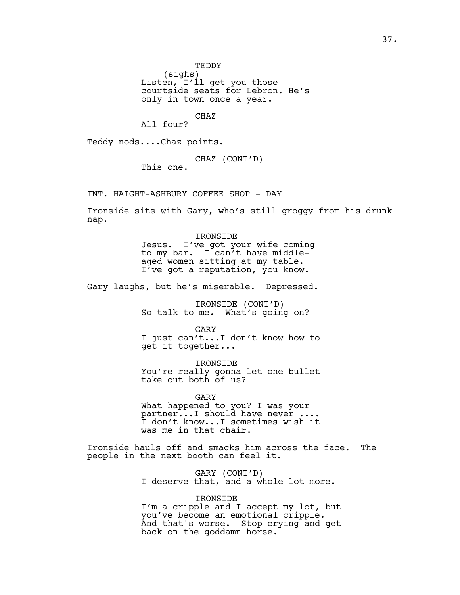TEDDY

(sighs)

Listen, I'll get you those courtside seats for Lebron. He's only in town once a year.

CHAZ

All four?

Teddy nods....Chaz points.

CHAZ (CONT'D)

This one.

INT. HAIGHT-ASHBURY COFFEE SHOP - DAY

Ironside sits with Gary, who's still groggy from his drunk nap.

> IRONSIDE Jesus. I've got your wife coming to my bar. I can't have middleaged women sitting at my table. I've got a reputation, you know.

Gary laughs, but he's miserable. Depressed.

IRONSIDE (CONT'D) So talk to me. What's going on?

GARY I just can't...I don't know how to get it together...

IRONSIDE You're really gonna let one bullet take out both of us?

GARY What happened to you? I was your partner...I should have never .... I don't know...I sometimes wish it was me in that chair.

Ironside hauls off and smacks him across the face. The people in the next booth can feel it.

> GARY (CONT'D) I deserve that, and a whole lot more.

# IRONSIDE

I'm a cripple and I accept my lot, but you've become an emotional cripple. And that's worse. Stop crying and get back on the goddamn horse.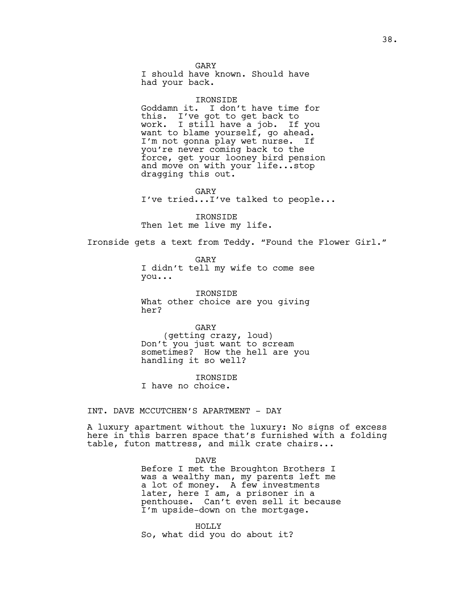GARY I should have known. Should have had your back.

### IRONSIDE

Goddamn it. I don't have time for this. I've got to get back to work. I still have a job. If you want to blame yourself, go ahead.<br>I'm not gonna play wet nurse. If I'm not gonna play wet nurse. you're never coming back to the force, get your looney bird pension and move on with your life...stop dragging this out.

GARY I've tried...I've talked to people...

IRONSIDE Then let me live my life.

Ironside gets a text from Teddy. "Found the Flower Girl."

GARY I didn't tell my wife to come see you...

IRONSIDE What other choice are you giving her?

GARY (getting crazy, loud) Don't you just want to scream sometimes? How the hell are you handling it so well?

IRONSIDE

I have no choice.

INT. DAVE MCCUTCHEN'S APARTMENT - DAY

A luxury apartment without the luxury: No signs of excess here in this barren space that's furnished with a folding table, futon mattress, and milk crate chairs...

> DAVE Before I met the Broughton Brothers I was a wealthy man, my parents left me a lot of money. A few investments later, here I am, a prisoner in a penthouse. Can't even sell it because I'm upside-down on the mortgage.

HOLLY So, what did you do about it?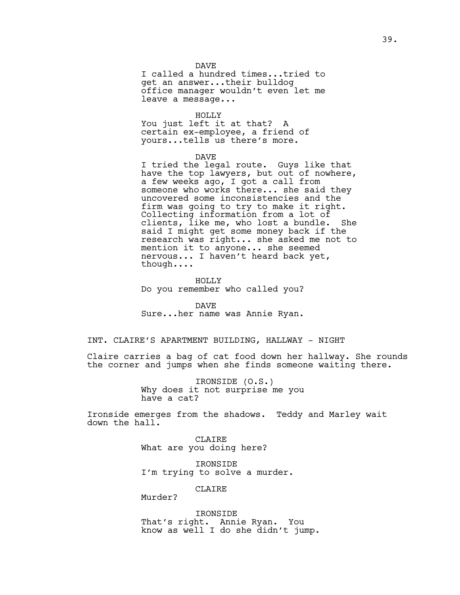## DAVE

I called a hundred times...tried to get an answer...their bulldog office manager wouldn't even let me leave a message...

HOLLY You just left it at that? A certain ex-employee, a friend of yours...tells us there's more.

DAVE

I tried the legal route. Guys like that have the top lawyers, but out of nowhere, a few weeks ago, I got a call from someone who works there... she said they uncovered some inconsistencies and the firm was going to try to make it right. Collecting information from a lot of clients, like me, who lost a bundle. She said I might get some money back if the research was right... she asked me not to mention it to anyone... she seemed nervous... I haven't heard back yet, though....

HOLLY Do you remember who called you?

DAVE Sure...her name was Annie Ryan.

# INT. CLAIRE'S APARTMENT BUILDING, HALLWAY - NIGHT

Claire carries a bag of cat food down her hallway. She rounds the corner and jumps when she finds someone waiting there.

> IRONSIDE (O.S.) Why does it not surprise me you have a cat?

Ironside emerges from the shadows. Teddy and Marley wait down the hall.

> CLAIRE What are you doing here?

IRONSIDE I'm trying to solve a murder.

CLAIRE

Murder?

IRONSIDE That's right. Annie Ryan. You know as well I do she didn't jump.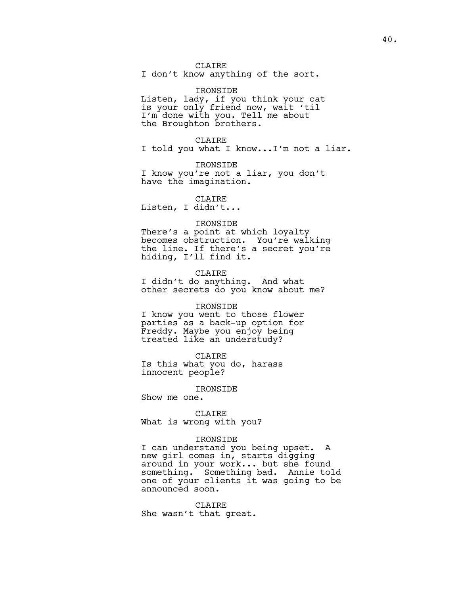CLAIRE

I don't know anything of the sort.

IRONSIDE Listen, lady, if you think your cat is your only friend now, wait 'til I'm done with you. Tell me about the Broughton brothers.

CLAIRE I told you what I know...I'm not a liar.

IRONSIDE I know you're not a liar, you don't have the imagination.

CLAIRE

Listen, I didn't...

## IRONSIDE

There's a point at which loyalty becomes obstruction. You're walking the line. If there's a secret you're hiding, I'll find it.

CLAIRE

I didn't do anything. And what other secrets do you know about me?

#### IRONSIDE

I know you went to those flower parties as a back-up option for Freddy. Maybe you enjoy being treated like an understudy?

CLAIRE

Is this what you do, harass innocent people?

IRONSIDE

Show me one.

CLAIRE What is wrong with you?

# IRONSIDE

I can understand you being upset. A new girl comes in, starts digging around in your work... but she found something. Something bad. Annie told one of your clients it was going to be announced soon.

CLAIRE She wasn't that great.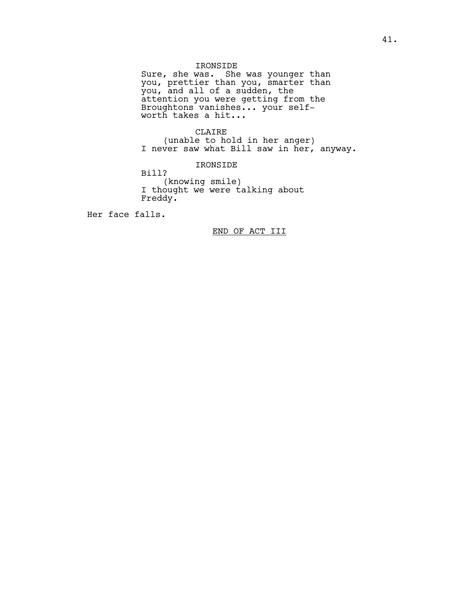# IRONSIDE

Sure, she was. She was younger than you, prettier than you, smarter than you, and all of a sudden, the attention you were getting from the Broughtons vanishes... your selfworth takes a hit...

# CLAIRE

(unable to hold in her anger) I never saw what Bill saw in her, anyway.

IRONSIDE

Bill?

(knowing smile) I thought we were talking about Freddy.

Her face falls.

END OF ACT III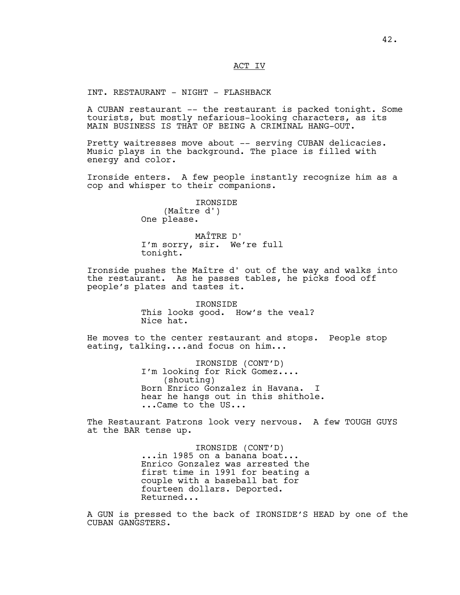# ACT IV

INT. RESTAURANT - NIGHT - FLASHBACK

A CUBAN restaurant -- the restaurant is packed tonight. Some tourists, but mostly nefarious-looking characters, as its MAIN BUSINESS IS THAT OF BEING A CRIMINAL HANG-OUT.

Pretty waitresses move about -- serving CUBAN delicacies. Music plays in the background. The place is filled with energy and color.

Ironside enters. A few people instantly recognize him as a cop and whisper to their companions.

> IRONSIDE (Maître d') One please.

MAÎTRE D' I'm sorry, sir. We're full tonight.

Ironside pushes the Maître d' out of the way and walks into the restaurant. As he passes tables, he picks food off people's plates and tastes it.

> **TRONSIDE** This looks good. How's the veal? Nice hat.

He moves to the center restaurant and stops. People stop eating, talking....and focus on him...

> IRONSIDE (CONT'D) I'm looking for Rick Gomez.... (shouting) Born Enrico Gonzalez in Havana. hear he hangs out in this shithole. ...Came to the US...

The Restaurant Patrons look very nervous. A few TOUGH GUYS at the BAR tense up.

> IRONSIDE (CONT'D) ...in 1985 on a banana boat... Enrico Gonzalez was arrested the first time in 1991 for beating a couple with a baseball bat for fourteen dollars. Deported. Returned...

A GUN is pressed to the back of IRONSIDE'S HEAD by one of the CUBAN GANGSTERS.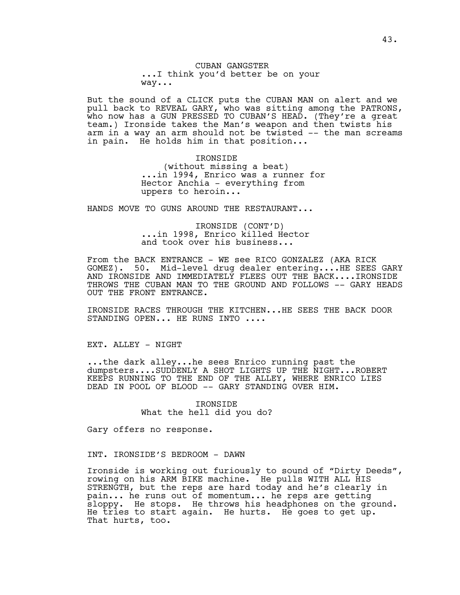# CUBAN GANGSTER ...I think you'd better be on your way...

But the sound of a CLICK puts the CUBAN MAN on alert and we pull back to REVEAL GARY, who was sitting among the PATRONS, who now has a GUN PRESSED TO CUBAN'S HEAD. (They're a great team.) Ironside takes the Man's weapon and then twists his arm in a way an arm should not be twisted -- the man screams in pain. He holds him in that position...

> IRONSIDE (without missing a beat) ...in 1994, Enrico was a runner for Hector Anchia - everything from uppers to heroin...

HANDS MOVE TO GUNS AROUND THE RESTAURANT...

IRONSIDE (CONT'D) ...in 1998, Enrico killed Hector and took over his business...

From the BACK ENTRANCE - WE see RICO GONZALEZ (AKA RICK GOMEZ). 50. Mid-level drug dealer entering....HE SEES GARY AND IRONSIDE AND IMMEDIATELY FLEES OUT THE BACK....IRONSIDE THROWS THE CUBAN MAN TO THE GROUND AND FOLLOWS -- GARY HEADS OUT THE FRONT ENTRANCE.

IRONSIDE RACES THROUGH THE KITCHEN...HE SEES THE BACK DOOR STANDING OPEN... HE RUNS INTO ....

EXT. ALLEY - NIGHT

...the dark alley...he sees Enrico running past the dumpsters....SUDDENLY A SHOT LIGHTS UP THE NIGHT...ROBERT KEEPS RUNNING TO THE END OF THE ALLEY, WHERE ENRICO LIES DEAD IN POOL OF BLOOD -- GARY STANDING OVER HIM.

> IRONSIDE What the hell did you do?

Gary offers no response.

INT. IRONSIDE'S BEDROOM - DAWN

Ironside is working out furiously to sound of "Dirty Deeds", rowing on his ARM BIKE machine. He pulls WITH ALL HIS STRENGTH, but the reps are hard today and he's clearly in pain... he runs out of momentum... he reps are getting sloppy. He stops. He throws his headphones on the ground. He tries to start again. He hurts. He goes to get up. That hurts, too.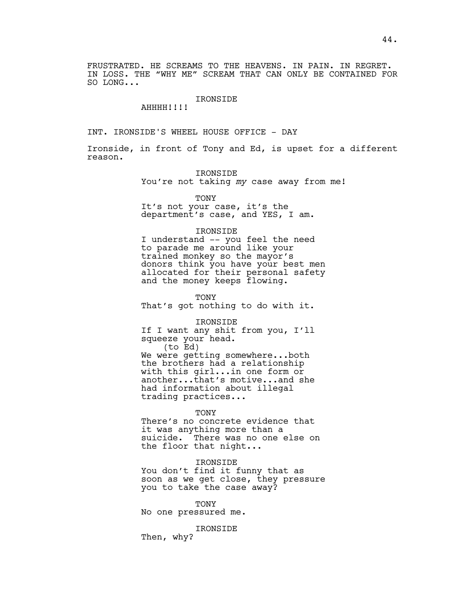FRUSTRATED. HE SCREAMS TO THE HEAVENS. IN PAIN. IN REGRET. IN LOSS. THE "WHY ME" SCREAM THAT CAN ONLY BE CONTAINED FOR SO LONG...

# IRONSIDE

AHHHH!!!!

INT. IRONSIDE'S WHEEL HOUSE OFFICE - DAY

Ironside, in front of Tony and Ed, is upset for a different reason.

IRONSIDE

You're not taking *my* case away from me!

**TONY** 

It's not your case, it's the department's case, and YES, I am.

#### IRONSIDE

I understand -- you feel the need to parade me around like your trained monkey so the mayor's donors think you have your best men allocated for their personal safety and the money keeps flowing.

**TONY** 

That's got nothing to do with it.

IRONSIDE

If I want any shit from you, I'll squeeze your head.

(to Ed) We were getting somewhere...both the brothers had a relationship with this girl...in one form or another...that's motive...and she had information about illegal trading practices...

TONY

There's no concrete evidence that it was anything more than a suicide. There was no one else on the floor that night...

IRONSIDE

You don't find it funny that as soon as we get close, they pressure you to take the case away?

TONY No one pressured me.

IRONSIDE

Then, why?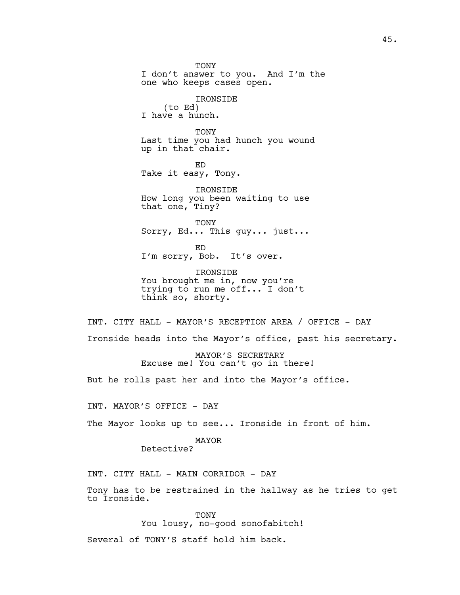**TONY** I don't answer to you. And I'm the one who keeps cases open. IRONSIDE (to Ed) I have a hunch. TONY Last time you had hunch you wound up in that chair. ED Take it easy, Tony. IRONSIDE How long you been waiting to use that one, Tiny? **TONY** Sorry, Ed... This guy... just... ED I'm sorry, Bob. It's over. IRONSIDE You brought me in, now you're trying to run me off... I don't think so, shorty. INT. CITY HALL - MAYOR'S RECEPTION AREA / OFFICE - DAY Ironside heads into the Mayor's office, past his secretary. MAYOR'S SECRETARY Excuse me! You can't go in there! But he rolls past her and into the Mayor's office. INT. MAYOR'S OFFICE - DAY The Mayor looks up to see... Ironside in front of him. MAYOR Detective? INT. CITY HALL - MAIN CORRIDOR - DAY Tony has to be restrained in the hallway as he tries to get to Ironside.

> TONY You lousy, no-good sonofabitch!

Several of TONY'S staff hold him back.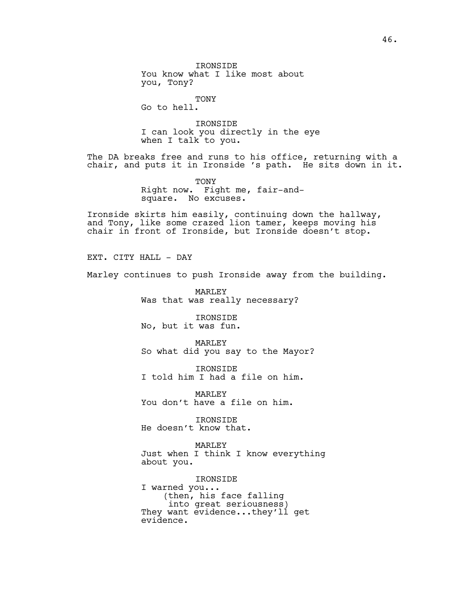IRONSIDE You know what I like most about you, Tony?

TONY Go to hell.

IRONSIDE I can look you directly in the eye when I talk to you**.** 

The DA breaks free and runs to his office, returning with a chair, and puts it in Ironside 's path. He sits down in it.

> TONY Right now. Fight me, fair-andsquare. No excuses.

Ironside skirts him easily, continuing down the hallway, and Tony, like some crazed lion tamer, keeps moving his chair in front of Ironside, but Ironside doesn't stop.

EXT. CITY HALL - DAY

Marley continues to push Ironside away from the building.

MARLEY Was that was really necessary?

IRONSIDE No, but it was fun.

MARLEY So what did you say to the Mayor?

IRONSIDE I told him I had a file on him.

MARLEY You don't have a file on him.

IRONSIDE He doesn't know that.

MARLEY Just when I think I know everything about you.

IRONSIDE I warned you... (then, his face falling into great seriousness) They want evidence...they'll get evidence.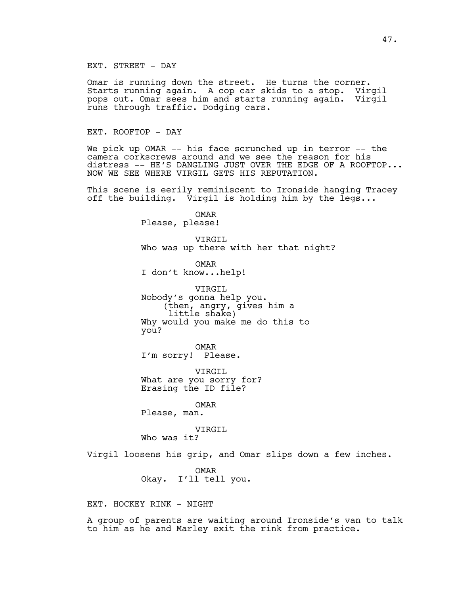# EXT. STREET - DAY

Omar is running down the street. He turns the corner. Starts running again. A cop car skids to a stop. Virgil pops out. Omar sees him and starts running again. Virgil runs through traffic. Dodging cars.

# EXT. ROOFTOP - DAY

We pick up OMAR -- his face scrunched up in terror -- the camera corkscrews around and we see the reason for his distress -- HE'S DANGLING JUST OVER THE EDGE OF A ROOFTOP... NOW WE SEE WHERE VIRGIL GETS HIS REPUTATION.

This scene is eerily reminiscent to Ironside hanging Tracey off the building.  $\bar{v}$ irgil is holding him by the legs...

> OMAR Please, please!

VIRGIL Who was up there with her that night?

OMAR I don't know...help!

VIRGIL Nobody's gonna help you. (then, angry, gives him a little shake) Why would you make me do this to you?

OMAR I'm sorry! Please.

VIRGIL What are you sorry for? Erasing the ID file?

OMAR

Please, man.

VIRGIL

Who was it?

Virgil loosens his grip, and Omar slips down a few inches.

OMAR Okay. I'll tell you.

EXT. HOCKEY RINK - NIGHT

A group of parents are waiting around Ironside's van to talk to him as he and Marley exit the rink from practice.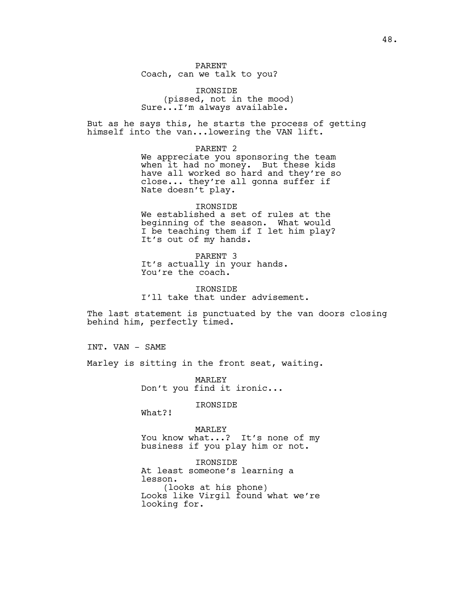PARENT Coach, can we talk to you?

IRONSIDE (pissed, not in the mood) Sure...I'm always available.

But as he says this, he starts the process of getting himself into the van...lowering the VAN lift.

PARENT 2

We appreciate you sponsoring the team when it had no money. But these kids have all worked so hard and they're so close... they're all gonna suffer if Nate doesn't play.

IRONSIDE We established a set of rules at the beginning of the season. What would I be teaching them if I let him play? It's out of my hands.

PARENT 3 It's actually in your hands. You're the coach.

IRONSIDE I'll take that under advisement.

The last statement is punctuated by the van doors closing behind him, perfectly timed.

INT. VAN - SAME

Marley is sitting in the front seat, waiting.

MARLEY Don't you find it ironic...

IRONSIDE

What?!

MARLEY You know what...? It's none of my business if you play him or not.

IRONSIDE At least someone's learning a lesson. (looks at his phone) Looks like Virgil found what we're looking for.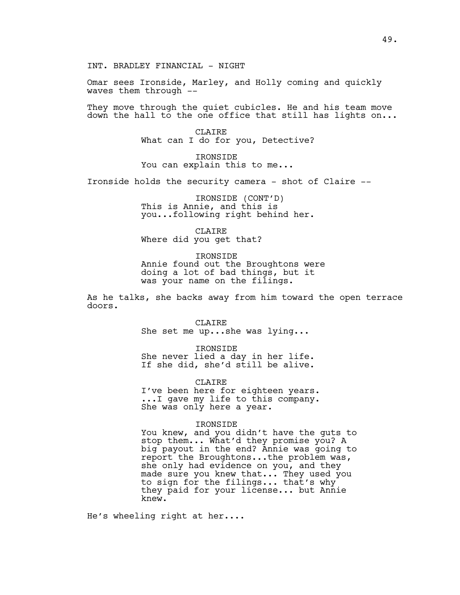INT. BRADLEY FINANCIAL - NIGHT

Omar sees Ironside, Marley, and Holly coming and quickly waves them through --

They move through the quiet cubicles. He and his team move down the hall to the one office that still has lights on...

> CLAIRE What can I do for you, Detective?

IRONSIDE You can explain this to me...

Ironside holds the security camera - shot of Claire --

IRONSIDE (CONT'D) This is Annie, and this is you...following right behind her.

CLAIRE Where did you get that?

IRONSIDE Annie found out the Broughtons were doing a lot of bad things, but it was your name on the filings.

As he talks, she backs away from him toward the open terrace doors.

> CLAIRE She set me up...she was lying...

IRONSIDE She never lied a day in her life. If she did, she'd still be alive.

CLAIRE I've been here for eighteen years. ...I gave my life to this company. She was only here a year.

#### IRONSIDE

You knew, and you didn't have the guts to stop them... What'd they promise you? A big payout in the end? Annie was going to report the Broughtons...the problem was, she only had evidence on you, and they made sure you knew that... They used you to sign for the filings... that's why they paid for your license... but Annie knew.

He's wheeling right at her....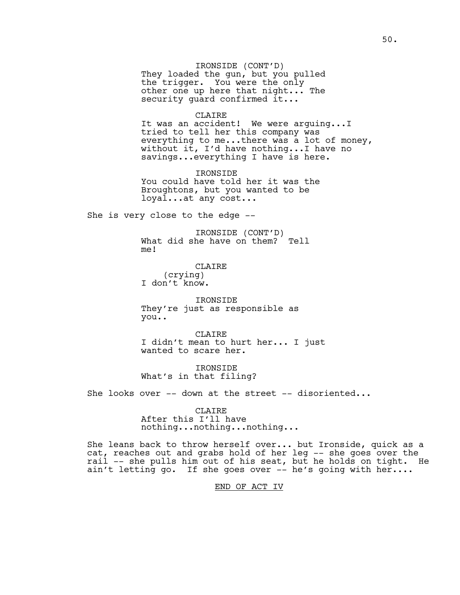IRONSIDE (CONT'D) They loaded the gun, but you pulled the trigger. You were the only other one up here that night... The security guard confirmed it...

## CLAIRE

It was an accident! We were arguing...I tried to tell her this company was everything to me...there was a lot of money, without it, I'd have nothing...I have no savings...everything I have is here.

IRONSIDE You could have told her it was the Broughtons, but you wanted to be loyal...at any cost...

She is very close to the edge --

IRONSIDE (CONT'D) What did she have on them? Tell me!

CLAIRE (crying) I don't know.

IRONSIDE They're just as responsible as you..

CLAIRE I didn't mean to hurt her... I just wanted to scare her.

IRONSIDE What's in that filing?

She looks over -- down at the street -- disoriented...

**CLAIRE** After this I'll have nothing...nothing...nothing...

She leans back to throw herself over... but Ironside, quick as a cat, reaches out and grabs hold of her leg -- she goes over the rail -- she pulls him out of his seat, but he holds on tight. He ain't letting go. If she goes over -- he's going with her....

END OF ACT IV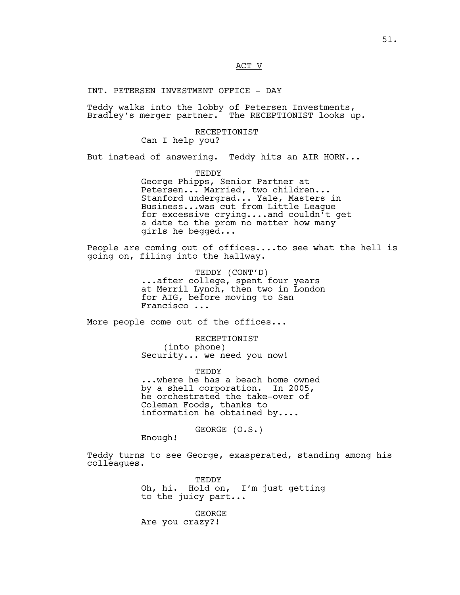# ACT V

# INT. PETERSEN INVESTMENT OFFICE - DAY

Teddy walks into the lobby of Petersen Investments, Bradley's merger partner. The RECEPTIONIST looks up.

# RECEPTIONIST

Can I help you?

But instead of answering. Teddy hits an AIR HORN...

TEDDY

George Phipps, Senior Partner at Petersen... Married, two children... Stanford undergrad... Yale, Masters in Business...was cut from Little League for excessive crying....and couldn't get a date to the prom no matter how many girls he begged...

People are coming out of offices....to see what the hell is going on, filing into the hallway.

> TEDDY (CONT'D) ...after college, spent four years at Merril Lynch, then two in London for AIG, before moving to San Francisco **...**

More people come out of the offices...

RECEPTIONIST (into phone) Security... we need you now!

**TEDDY** ...where he has a beach home owned by a shell corporation. In 2005, he orchestrated the take-over of Coleman Foods, thanks to information he obtained by....

GEORGE (O.S.)

Enough!

Teddy turns to see George, exasperated, standing among his colleagues.

> TEDDY Oh, hi. Hold on, I'm just getting to the juicy part...

GEORGE Are you crazy?!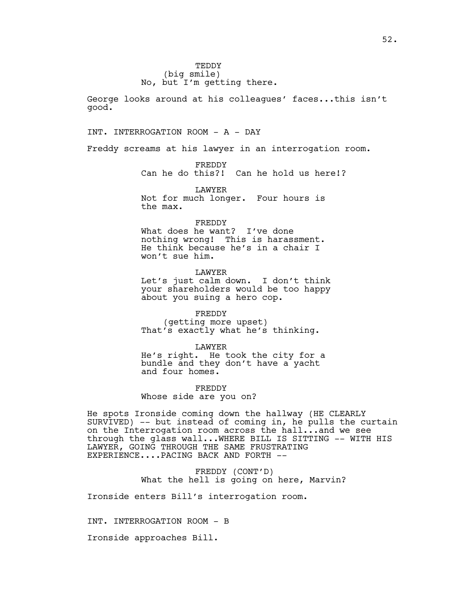George looks around at his colleagues' faces...this isn't good.

# INT. INTERROGATION ROOM - A - DAY

Freddy screams at his lawyer in an interrogation room.

FREDDY Can he do this?! Can he hold us here!?

LAWYER Not for much longer. Four hours is the max.

# FREDDY

What does he want? I've done nothing wrong! This is harassment. He think because he's in a chair I won't sue him.

# LAWYER

Let's just calm down. I don't think your shareholders would be too happy about you suing a hero cop.

FREDDY (getting more upset) That's exactly what he's thinking.

#### LAWYER

He's right. He took the city for a bundle and they don't have a yacht and four homes.

FREDDY Whose side are you on?

He spots Ironside coming down the hallway (HE CLEARLY SURVIVED) -- but instead of coming in, he pulls the curtain on the Interrogation room across the hall...and we see through the glass wall...WHERE BILL IS SITTING -- WITH HIS LAWYER, GOING THROUGH THE SAME FRUSTRATING EXPERIENCE....PACING BACK AND FORTH --

> FREDDY (CONT'D) What the hell is going on here, Marvin?

Ironside enters Bill's interrogation room.

INT. INTERROGATION ROOM - B

Ironside approaches Bill.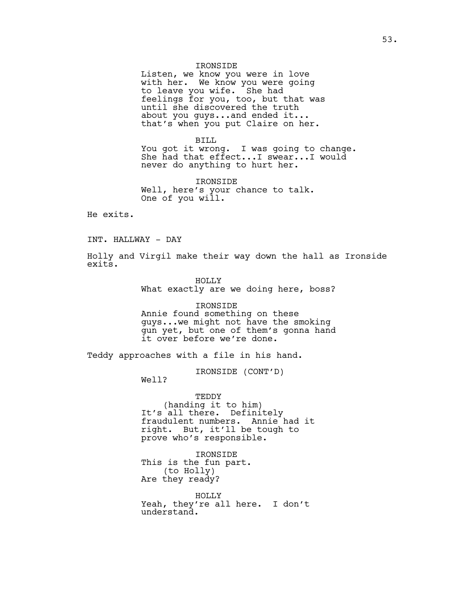## IRONSIDE

Listen, we know you were in love with her. We know you were going to leave you wife. She had feelings for you, too, but that was until she discovered the truth about you guys...and ended it... that's when you put Claire on her.

BILL You got it wrong. I was going to change. She had that effect...I swear...I would never do anything to hurt her.

IRONSIDE Well, here's your chance to talk. One of you will.

He exits.

INT. HALLWAY - DAY

Holly and Virgil make their way down the hall as Ironside exits.

> HOLLY What exactly are we doing here, boss?

IRONSIDE Annie found something on these guys...we might not have the smoking gun yet, but one of them's gonna hand it over before we're done.

Teddy approaches with a file in his hand.

IRONSIDE (CONT'D)

Well?

TEDDY (handing it to him) It's all there. Definitely fraudulent numbers. Annie had it right. But, it'll be tough to prove who's responsible.

IRONSIDE This is the fun part. (to Holly) Are they ready?

HOLLY Yeah, they're all here. I don't understand.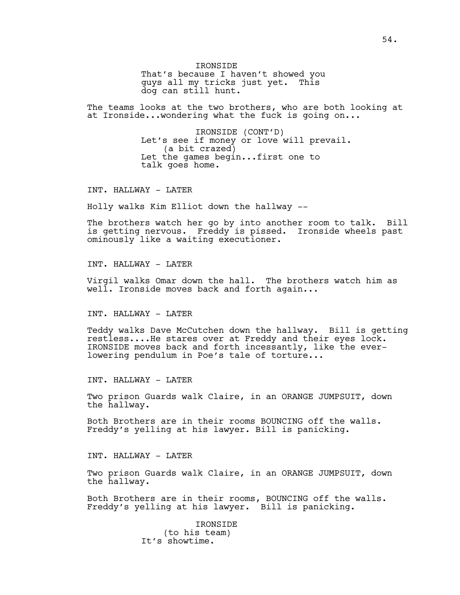IRONSIDE That's because I haven't showed you guys all my tricks just yet. This dog can still hunt.

The teams looks at the two brothers, who are both looking at at Ironside...wondering what the fuck is going on...

> IRONSIDE (CONT'D) Let's see if money or love will prevail. (a bit crazed) Let the games begin...first one to talk goes home.

INT. HALLWAY - LATER

Holly walks Kim Elliot down the hallway --

The brothers watch her go by into another room to talk. Bill is getting nervous. Freddy is pissed. Ironside wheels past ominously like a waiting executioner.

INT. HALLWAY - LATER

Virgil walks Omar down the hall. The brothers watch him as well. Ironside moves back and forth again...

# INT. HALLWAY - LATER

Teddy walks Dave McCutchen down the hallway. Bill is getting restless....He stares over at Freddy and their eyes lock. IRONSIDE moves back and forth incessantly, like the everlowering pendulum in Poe's tale of torture...

INT. HALLWAY - LATER

Two prison Guards walk Claire, in an ORANGE JUMPSUIT, down the hallway.

Both Brothers are in their rooms BOUNCING off the walls. Freddy's yelling at his lawyer. Bill is panicking.

INT. HALLWAY - LATER

Two prison Guards walk Claire, in an ORANGE JUMPSUIT, down the hallway.

Both Brothers are in their rooms, BOUNCING off the walls. Freddy's yelling at his lawyer. Bill is panicking.

> IRONSIDE (to his team) It's showtime.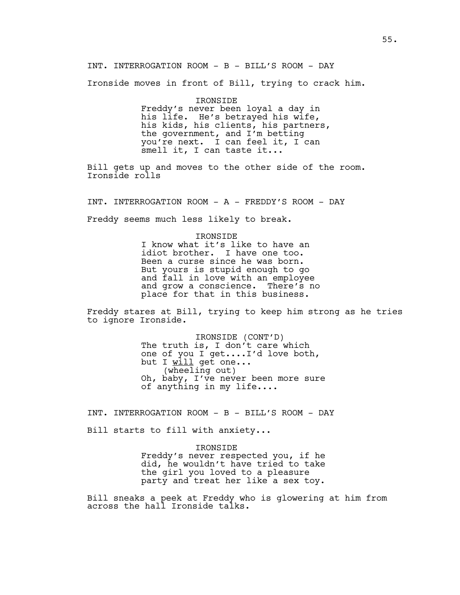INT. INTERROGATION ROOM - B - BILL'S ROOM - DAY

Ironside moves in front of Bill, trying to crack him.

IRONSIDE Freddy's never been loyal a day in his life. He's betrayed his wife, his kids, his clients, his partners, the government, and I'm betting you're next. I can feel it, I can smell it, I can taste it...

Bill gets up and moves to the other side of the room. Ironside rolls

INT. INTERROGATION ROOM - A - FREDDY'S ROOM - DAY

Freddy seems much less likely to break.

#### IRONSIDE

I know what it's like to have an idiot brother. I have one too. Been a curse since he was born. But yours is stupid enough to go and fall in love with an employee and grow a conscience. There's no place for that in this business.

Freddy stares at Bill, trying to keep him strong as he tries to ignore Ironside.

> IRONSIDE (CONT'D) The truth is, I don't care which one of you I get....I'd love both, but I will get one... (wheeling out) Oh, baby, I've never been more sure of anything in my life....

INT. INTERROGATION ROOM - B - BILL'S ROOM - DAY

Bill starts to fill with anxiety...

IRONSIDE

Freddy's never respected you, if he did, he wouldn't have tried to take the girl you loved to a pleasure party and treat her like a sex toy.

Bill sneaks a peek at Freddy who is glowering at him from across the hall Ironside talks.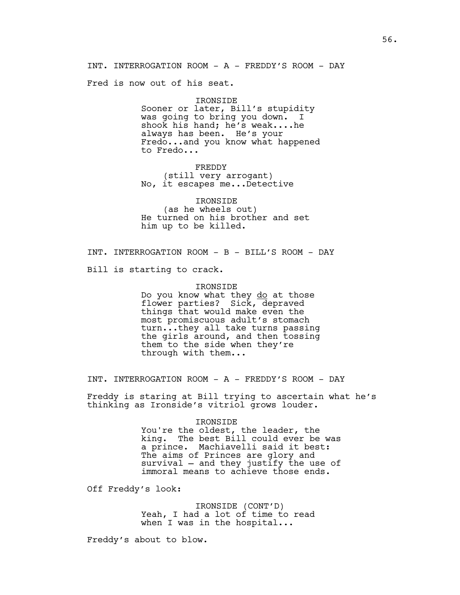INT. INTERROGATION ROOM - A - FREDDY'S ROOM - DAY

Fred is now out of his seat.

#### IRONSIDE

Sooner or later, Bill's stupidity was going to bring you down. I shook his hand; he's weak....he always has been. He's your Fredo...and you know what happened to Fredo...

FREDDY (still very arrogant) No, it escapes me...Detective

IRONSIDE (as he wheels out) He turned on his brother and set him up to be killed.

INT. INTERROGATION ROOM - B - BILL'S ROOM - DAY

Bill is starting to crack.

#### IRONSIDE

Do you know what they do at those flower parties? Sick, depraved things that would make even the most promiscuous adult's stomach turn...they all take turns passing the girls around, and then tossing them to the side when they're through with them...

INT. INTERROGATION ROOM - A - FREDDY'S ROOM - DAY

Freddy is staring at Bill trying to ascertain what he's thinking as Ironside's vitriol grows louder.

## IRONSIDE

You're the oldest, the leader, the king. The best Bill could ever be was a prince. Machiavelli said it best: The aims of Princes are glory and survival — and they justify the use of immoral means to achieve those ends.

Off Freddy's look:

IRONSIDE (CONT'D) Yeah, I had a lot of time to read when I was in the hospital...

Freddy's about to blow.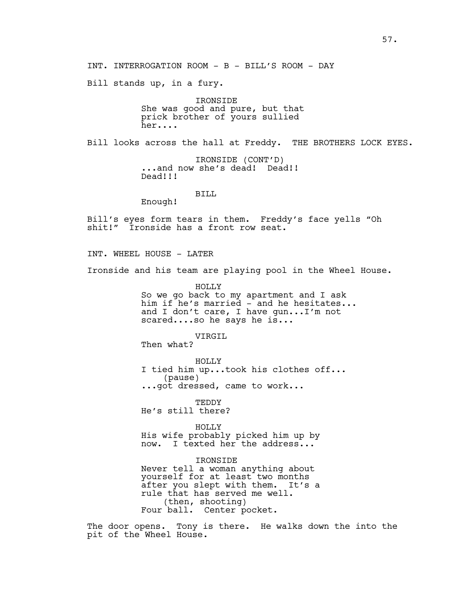Bill stands up, in a fury.

IRONSIDE She was good and pure, but that prick brother of yours sullied her....

Bill looks across the hall at Freddy. THE BROTHERS LOCK EYES.

IRONSIDE (CONT'D) ...and now she's dead! Dead!! Dead!!!

# BILL

Enough!

Bill's eyes form tears in them. Freddy's face yells "Oh shit!" Ironside has a front row seat.

INT. WHEEL HOUSE - LATER

Ironside and his team are playing pool in the Wheel House.

HOLLY So we go back to my apartment and I ask him if he's married - and he hesitates... and I don't care, I have gun...I'm not scared....so he says he is...

VIRGIL

Then what?

HOLLY I tied him up...took his clothes off... (pause) ...got dressed, came to work...

TEDDY

He's still there?

HOLLY His wife probably picked him up by now. I texted her the address...

IRONSIDE Never tell a woman anything about yourself for at least two months after you slept with them. It's a rule that has served me well. (then, shooting) Four ball. Center pocket.

The door opens. Tony is there. He walks down the into the pit of the Wheel House.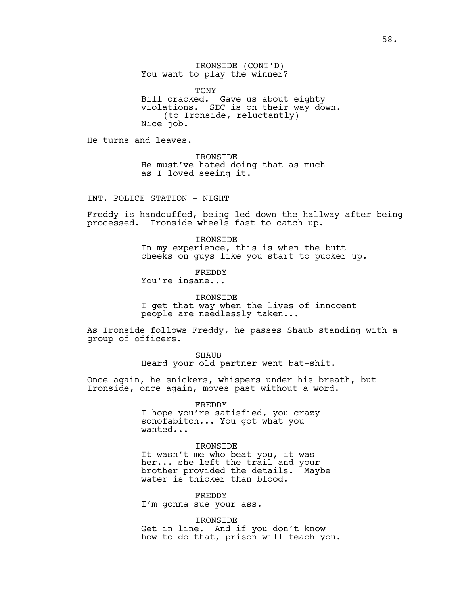IRONSIDE (CONT'D) You want to play the winner?

TONY Bill cracked. Gave us about eighty violations. SEC is on their way down. (to Ironside, reluctantly) Nice job.

He turns and leaves.

IRONSIDE He must've hated doing that as much as I loved seeing it.

INT. POLICE STATION - NIGHT

Freddy is handcuffed, being led down the hallway after being processed. Ironside wheels fast to catch up.

> IRONSIDE In my experience, this is when the butt cheeks on guys like you start to pucker up.

> > FREDDY

You're insane...

IRONSIDE

I get that way when the lives of innocent people are needlessly taken...

As Ironside follows Freddy, he passes Shaub standing with a group of officers.

SHAUB

Heard your old partner went bat-shit.

Once again, he snickers, whispers under his breath, but Ironside, once again, moves past without a word.

FREDDY

I hope you're satisfied, you crazy sonofabitch... You got what you wanted...

## IRONSIDE

It wasn't me who beat you, it was her... she left the trail and your brother provided the details. Maybe water is thicker than blood.

FREDDY I'm gonna sue your ass.

IRONSIDE Get in line. And if you don't know how to do that, prison will teach you.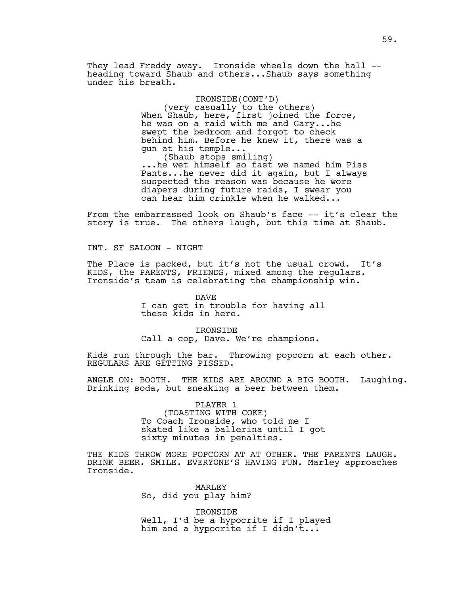They lead Freddy away. Ironside wheels down the hall - heading toward Shaub and others...Shaub says something under his breath.

# IRONSIDE(CONT'D)

(very casually to the others) When Shaub, here, first joined the force, he was on a raid with me and Gary...he swept the bedroom and forgot to check behind him. Before he knew it, there was a gun at his temple... (Shaub stops smiling)

...he wet himself so fast we named him Piss Pants...he never did it again, but I always suspected the reason was because he wore diapers during future raids, I swear you can hear him crinkle when he walked...

From the embarrassed look on Shaub's face -- it's clear the story is true. The others laugh, but this time at Shaub.

INT. SF SALOON - NIGHT

The Place is packed, but it's not the usual crowd. It's KIDS, the PARENTS, FRIENDS, mixed among the regulars. Ironside's team is celebrating the championship win.

DAVE

I can get in trouble for having all these kids in here.

IRONSIDE

Call a cop, Dave. We're champions.

Kids run through the bar. Throwing popcorn at each other. REGULARS ARE GETTING PISSED.

ANGLE ON: BOOTH. THE KIDS ARE AROUND A BIG BOOTH. Laughing. Drinking soda, but sneaking a beer between them.

> PLAYER 1 (TOASTING WITH COKE) To Coach Ironside, who told me I skated like a ballerina until I got sixty minutes in penalties.

THE KIDS THROW MORE POPCORN AT AT OTHER. THE PARENTS LAUGH. DRINK BEER. SMILE. EVERYONE'S HAVING FUN. Marley approaches Ironside.

> MARLEY So, did you play him?

IRONSIDE Well, I'd be a hypocrite if I played him and a hypocrite if I didn't...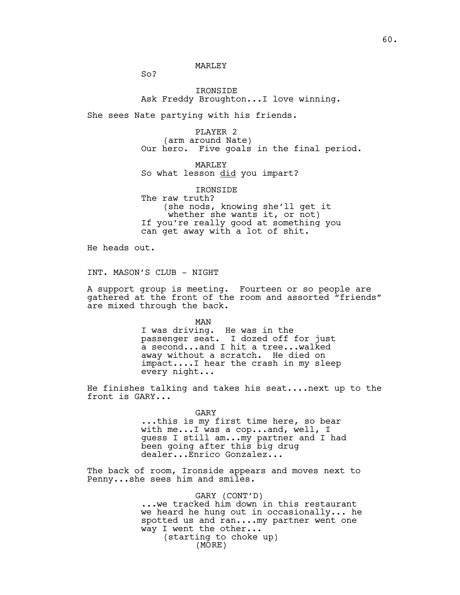$SO<sub>2</sub>$ 

IRONSIDE Ask Freddy Broughton...I love winning.

She sees Nate partying with his friends.

PLAYER 2 (arm around Nate) Our hero. Five goals in the final period.

**MARLEY** So what lesson did you impart?

IRONSIDE The raw truth? (she nods, knowing she'll get it whether she wants it, or not) If you're really good at something you can get away with a lot of shit.

He heads out.

INT. MASON'S CLUB - NIGHT

A support group is meeting. Fourteen or so people are gathered at the front of the room and assorted "friends" are mixed through the back.

MAN

I was driving. He was in the passenger seat. I dozed off for just a second...and I hit a tree...walked away without a scratch. He died on impact....I hear the crash in my sleep every night...

He finishes talking and takes his seat....next up to the front is GARY...

> GARY ...this is my first time here, so bear with me...I was a cop...and, well, I guess I still am...my partner and I had been going after this big drug dealer...Enrico Gonzalez...

The back of room, Ironside appears and moves next to Penny...she sees him and smiles.

# GARY (CONT'D)

...we tracked him down in this restaurant we heard he hung out in occasionally... he spotted us and ran....my partner went one way I went the other... (starting to choke up) (MORE)